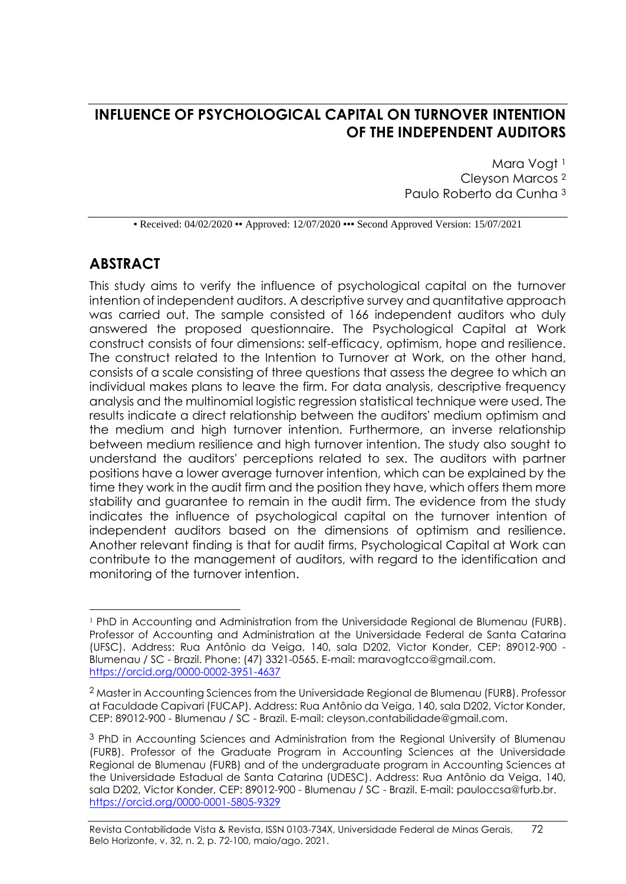# **INFLUENCE OF PSYCHOLOGICAL CAPITAL ON TURNOVER INTENTION OF THE INDEPENDENT AUDITORS**

Mara Vogt<sup>1</sup> Cleyson Marcos <sup>2</sup> Paulo Roberto da Cunha <sup>3</sup>

• Received: 04/02/2020 • Approved: 12/07/2020 •• Second Approved Version: 15/07/2021

# **ABSTRACT**

This study aims to verify the influence of psychological capital on the turnover intention of independent auditors. A descriptive survey and quantitative approach was carried out. The sample consisted of 166 independent auditors who duly answered the proposed questionnaire. The Psychological Capital at Work construct consists of four dimensions: self-efficacy, optimism, hope and resilience. The construct related to the Intention to Turnover at Work, on the other hand, consists of a scale consisting of three questions that assess the degree to which an individual makes plans to leave the firm. For data analysis, descriptive frequency analysis and the multinomial logistic regression statistical technique were used. The results indicate a direct relationship between the auditors' medium optimism and the medium and high turnover intention. Furthermore, an inverse relationship between medium resilience and high turnover intention. The study also sought to understand the auditors' perceptions related to sex. The auditors with partner positions have a lower average turnover intention, which can be explained by the time they work in the audit firm and the position they have, which offers them more stability and guarantee to remain in the audit firm. The evidence from the study indicates the influence of psychological capital on the turnover intention of independent auditors based on the dimensions of optimism and resilience. Another relevant finding is that for audit firms, Psychological Capital at Work can contribute to the management of auditors, with regard to the identification and monitoring of the turnover intention.

<sup>1</sup> PhD in Accounting and Administration from the Universidade Regional de Blumenau (FURB). Professor of Accounting and Administration at the Universidade Federal de Santa Catarina (UFSC). Address: Rua Antônio da Veiga, 140, sala D202, Victor Konder, CEP: 89012-900 - Blumenau / SC - Brazil. Phone: (47) 3321-0565. E-mail: maravogtcco@gmail.com. https://orcid.org/0000-0002-3951-4637

 $^2$  Master in Accounting Sciences from the Universidade Regional de Blumenau (FURB). Professor at Faculdade Capivari (FUCAP). Address: Rua Antônio da Veiga, 140, sala D202, Victor Konder, CEP: 89012-900 - Blumenau / SC - Brazil. E-mail: cleyson.contabilidade@gmail.com.

<sup>&</sup>lt;sup>3</sup> PhD in Accounting Sciences and Administration from the Regional University of Blumenau (FURB). Professor of the Graduate Program in Accounting Sciences at the Universidade Regional de Blumenau (FURB) and of the undergraduate program in Accounting Sciences at the Universidade Estadual de Santa Catarina (UDESC). Address: Rua Antônio da Veiga, 140, sala D202, Victor Konder, CEP: 89012-900 - Blumenau / SC - Brazil. E-mail: [pauloccsa@furb.br.](mailto:pauloccsa@furb.br) <https://orcid.org/0000-0001-5805-9329>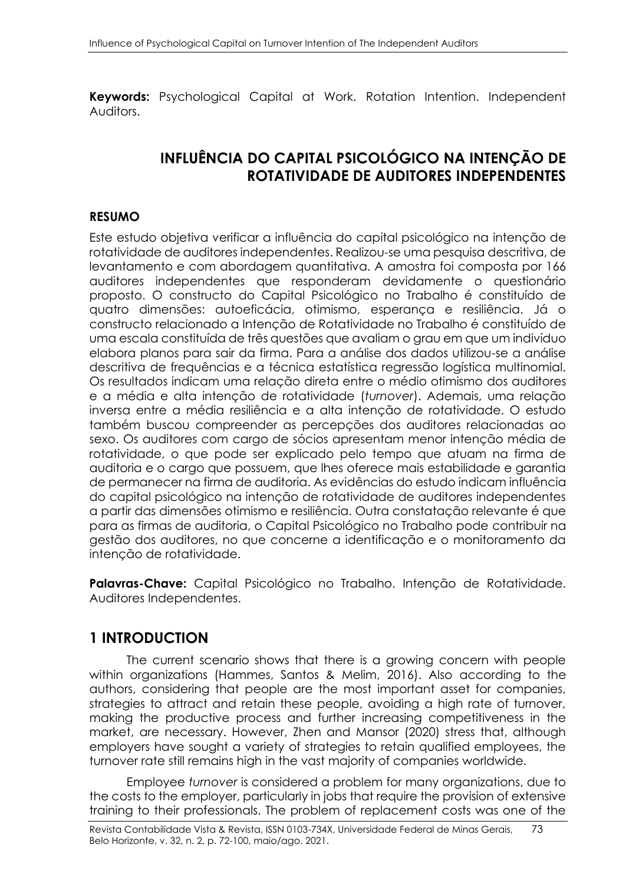**Keywords:** Psychological Capital at Work. Rotation Intention. Independent Auditors.

# **INFLUÊNCIA DO CAPITAL PSICOLÓGICO NA INTENÇÃO DE ROTATIVIDADE DE AUDITORES INDEPENDENTES**

### **RESUMO**

Este estudo objetiva verificar a influência do capital psicológico na intenção de rotatividade de auditores independentes. Realizou-se uma pesquisa descritiva, de levantamento e com abordagem quantitativa. A amostra foi composta por 166 auditores independentes que responderam devidamente o questionário proposto. O constructo do Capital Psicológico no Trabalho é constituído de quatro dimensões: autoeficácia, otimismo, esperança e resiliência. Já o constructo relacionado a Intenção de Rotatividade no Trabalho é constituído de uma escala constituída de três questões que avaliam o grau em que um indivíduo elabora planos para sair da firma. Para a análise dos dados utilizou-se a análise descritiva de frequências e a técnica estatística regressão logística multinomial. Os resultados indicam uma relação direta entre o médio otimismo dos auditores e a média e alta intenção de rotatividade (*turnover*). Ademais, uma relação inversa entre a média resiliência e a alta intenção de rotatividade. O estudo também buscou compreender as percepções dos auditores relacionadas ao sexo. Os auditores com cargo de sócios apresentam menor intenção média de rotatividade, o que pode ser explicado pelo tempo que atuam na firma de auditoria e o cargo que possuem, que lhes oferece mais estabilidade e garantia de permanecer na firma de auditoria. As evidências do estudo indicam influência do capital psicológico na intenção de rotatividade de auditores independentes a partir das dimensões otimismo e resiliência. Outra constatação relevante é que para as firmas de auditoria, o Capital Psicológico no Trabalho pode contribuir na gestão dos auditores, no que concerne a identificação e o monitoramento da intenção de rotatividade.

**Palavras-Chave:** Capital Psicológico no Trabalho. Intenção de Rotatividade. Auditores Independentes.

### **1 INTRODUCTION**

The current scenario shows that there is a growing concern with people within organizations (Hammes, Santos & Melim, 2016). Also according to the authors, considering that people are the most important asset for companies, strategies to attract and retain these people, avoiding a high rate of turnover, making the productive process and further increasing competitiveness in the market, are necessary. However, Zhen and Mansor (2020) stress that, although employers have sought a variety of strategies to retain qualified employees, the turnover rate still remains high in the vast majority of companies worldwide.

Employee *turnover* is considered a problem for many organizations, due to the costs to the employer, particularly in jobs that require the provision of extensive training to their professionals. The problem of replacement costs was one of the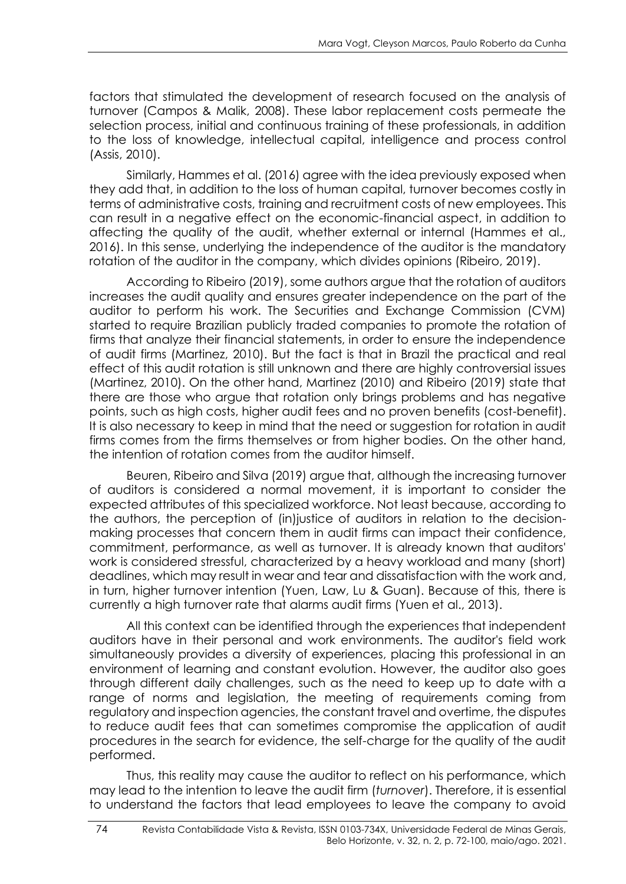factors that stimulated the development of research focused on the analysis of turnover (Campos & Malik, 2008). These labor replacement costs permeate the selection process, initial and continuous training of these professionals, in addition to the loss of knowledge, intellectual capital, intelligence and process control (Assis, 2010).

Similarly, Hammes et al. (2016) agree with the idea previously exposed when they add that, in addition to the loss of human capital, turnover becomes costly in terms of administrative costs, training and recruitment costs of new employees. This can result in a negative effect on the economic-financial aspect, in addition to affecting the quality of the audit, whether external or internal (Hammes et al., 2016). In this sense, underlying the independence of the auditor is the mandatory rotation of the auditor in the company, which divides opinions (Ribeiro, 2019).

According to Ribeiro (2019), some authors argue that the rotation of auditors increases the audit quality and ensures greater independence on the part of the auditor to perform his work. The Securities and Exchange Commission (CVM) started to require Brazilian publicly traded companies to promote the rotation of firms that analyze their financial statements, in order to ensure the independence of audit firms (Martinez, 2010). But the fact is that in Brazil the practical and real effect of this audit rotation is still unknown and there are highly controversial issues (Martinez, 2010). On the other hand, Martinez (2010) and Ribeiro (2019) state that there are those who argue that rotation only brings problems and has negative points, such as high costs, higher audit fees and no proven benefits (cost-benefit). It is also necessary to keep in mind that the need or suggestion for rotation in audit firms comes from the firms themselves or from higher bodies. On the other hand, the intention of rotation comes from the auditor himself.

Beuren, Ribeiro and Silva (2019) argue that, although the increasing turnover of auditors is considered a normal movement, it is important to consider the expected attributes of this specialized workforce. Not least because, according to the authors, the perception of (in)justice of auditors in relation to the decisionmaking processes that concern them in audit firms can impact their confidence, commitment, performance, as well as turnover. It is already known that auditors' work is considered stressful, characterized by a heavy workload and many (short) deadlines, which may result in wear and tear and dissatisfaction with the work and, in turn, higher turnover intention (Yuen, Law, Lu & Guan). Because of this, there is currently a high turnover rate that alarms audit firms (Yuen et al., 2013).

All this context can be identified through the experiences that independent auditors have in their personal and work environments. The auditor's field work simultaneously provides a diversity of experiences, placing this professional in an environment of learning and constant evolution. However, the auditor also goes through different daily challenges, such as the need to keep up to date with a range of norms and legislation, the meeting of requirements coming from regulatory and inspection agencies, the constant travel and overtime, the disputes to reduce audit fees that can sometimes compromise the application of audit procedures in the search for evidence, the self-charge for the quality of the audit performed.

Thus, this reality may cause the auditor to reflect on his performance, which may lead to the intention to leave the audit firm (*turnover*). Therefore, it is essential to understand the factors that lead employees to leave the company to avoid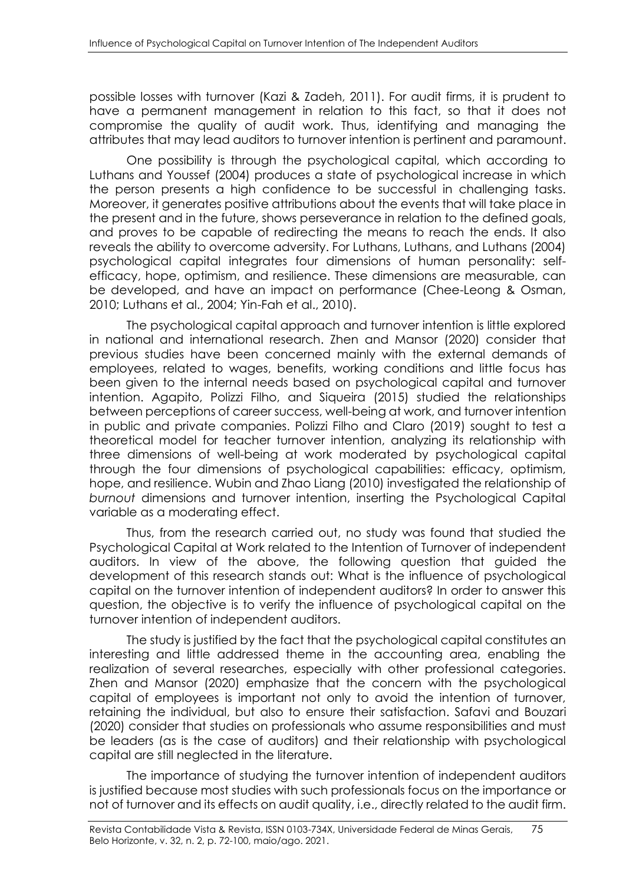possible losses with turnover (Kazi & Zadeh, 2011). For audit firms, it is prudent to have a permanent management in relation to this fact, so that it does not compromise the quality of audit work. Thus, identifying and managing the attributes that may lead auditors to turnover intention is pertinent and paramount.

One possibility is through the psychological capital, which according to Luthans and Youssef (2004) produces a state of psychological increase in which the person presents a high confidence to be successful in challenging tasks. Moreover, it generates positive attributions about the events that will take place in the present and in the future, shows perseverance in relation to the defined goals, and proves to be capable of redirecting the means to reach the ends. It also reveals the ability to overcome adversity. For Luthans, Luthans, and Luthans (2004) psychological capital integrates four dimensions of human personality: selfefficacy, hope, optimism, and resilience. These dimensions are measurable, can be developed, and have an impact on performance (Chee-Leong & Osman, 2010; Luthans et al., 2004; Yin-Fah et al., 2010).

The psychological capital approach and turnover intention is little explored in national and international research. Zhen and Mansor (2020) consider that previous studies have been concerned mainly with the external demands of employees, related to wages, benefits, working conditions and little focus has been given to the internal needs based on psychological capital and turnover intention. Agapito, Polizzi Filho, and Siqueira (2015) studied the relationships between perceptions of career success, well-being at work, and turnover intention in public and private companies. Polizzi Filho and Claro (2019) sought to test a theoretical model for teacher turnover intention, analyzing its relationship with three dimensions of well-being at work moderated by psychological capital through the four dimensions of psychological capabilities: efficacy, optimism, hope, and resilience. Wubin and Zhao Liang (2010) investigated the relationship of *burnout* dimensions and turnover intention, inserting the Psychological Capital variable as a moderating effect.

Thus, from the research carried out, no study was found that studied the Psychological Capital at Work related to the Intention of Turnover of independent auditors. In view of the above, the following question that guided the development of this research stands out: What is the influence of psychological capital on the turnover intention of independent auditors? In order to answer this question, the objective is to verify the influence of psychological capital on the turnover intention of independent auditors.

The study is justified by the fact that the psychological capital constitutes an interesting and little addressed theme in the accounting area, enabling the realization of several researches, especially with other professional categories. Zhen and Mansor (2020) emphasize that the concern with the psychological capital of employees is important not only to avoid the intention of turnover, retaining the individual, but also to ensure their satisfaction. Safavi and Bouzari (2020) consider that studies on professionals who assume responsibilities and must be leaders (as is the case of auditors) and their relationship with psychological capital are still neglected in the literature.

The importance of studying the turnover intention of independent auditors is justified because most studies with such professionals focus on the importance or not of turnover and its effects on audit quality, i.e., directly related to the audit firm.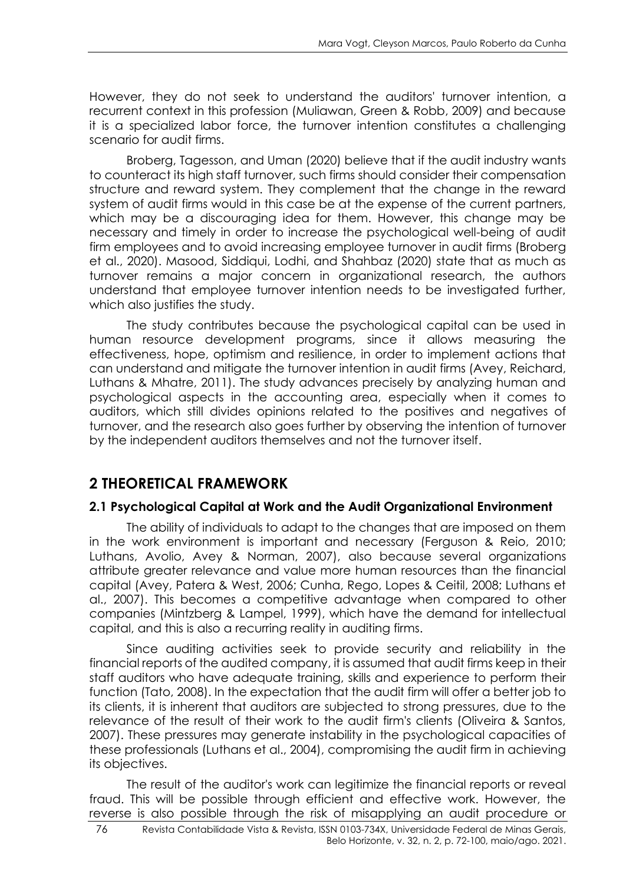However, they do not seek to understand the auditors' turnover intention, a recurrent context in this profession (Muliawan, Green & Robb, 2009) and because it is a specialized labor force, the turnover intention constitutes a challenging scenario for audit firms.

Broberg, Tagesson, and Uman (2020) believe that if the audit industry wants to counteract its high staff turnover, such firms should consider their compensation structure and reward system. They complement that the change in the reward system of audit firms would in this case be at the expense of the current partners, which may be a discouraging idea for them. However, this change may be necessary and timely in order to increase the psychological well-being of audit firm employees and to avoid increasing employee turnover in audit firms (Broberg et al., 2020). Masood, Siddiqui, Lodhi, and Shahbaz (2020) state that as much as turnover remains a major concern in organizational research, the authors understand that employee turnover intention needs to be investigated further, which also justifies the study.

The study contributes because the psychological capital can be used in human resource development programs, since it allows measuring the effectiveness, hope, optimism and resilience, in order to implement actions that can understand and mitigate the turnover intention in audit firms (Avey, Reichard, Luthans & Mhatre, 2011). The study advances precisely by analyzing human and psychological aspects in the accounting area, especially when it comes to auditors, which still divides opinions related to the positives and negatives of turnover, and the research also goes further by observing the intention of turnover by the independent auditors themselves and not the turnover itself.

# **2 THEORETICAL FRAMEWORK**

## **2.1 Psychological Capital at Work and the Audit Organizational Environment**

The ability of individuals to adapt to the changes that are imposed on them in the work environment is important and necessary (Ferguson & Reio, 2010; Luthans, Avolio, Avey & Norman, 2007), also because several organizations attribute greater relevance and value more human resources than the financial capital (Avey, Patera & West, 2006; Cunha, Rego, Lopes & Ceitil, 2008; Luthans et al., 2007). This becomes a competitive advantage when compared to other companies (Mintzberg & Lampel, 1999), which have the demand for intellectual capital, and this is also a recurring reality in auditing firms.

Since auditing activities seek to provide security and reliability in the financial reports of the audited company, it is assumed that audit firms keep in their staff auditors who have adequate training, skills and experience to perform their function (Tato, 2008). In the expectation that the audit firm will offer a better job to its clients, it is inherent that auditors are subjected to strong pressures, due to the relevance of the result of their work to the audit firm's clients (Oliveira & Santos, 2007). These pressures may generate instability in the psychological capacities of these professionals (Luthans et al., 2004), compromising the audit firm in achieving its objectives.

The result of the auditor's work can legitimize the financial reports or reveal fraud. This will be possible through efficient and effective work. However, the reverse is also possible through the risk of misapplying an audit procedure or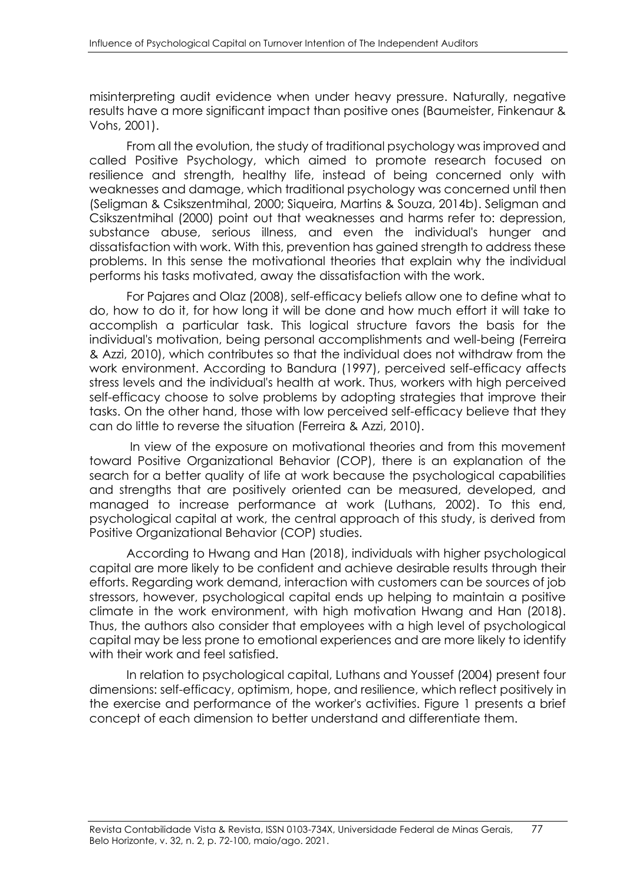misinterpreting audit evidence when under heavy pressure. Naturally, negative results have a more significant impact than positive ones (Baumeister, Finkenaur & Vohs, 2001).

From all the evolution, the study of traditional psychology was improved and called Positive Psychology, which aimed to promote research focused on resilience and strength, healthy life, instead of being concerned only with weaknesses and damage, which traditional psychology was concerned until then (Seligman & Csikszentmihal, 2000; Siqueira, Martins & Souza, 2014b). Seligman and Csikszentmihal (2000) point out that weaknesses and harms refer to: depression, substance abuse, serious illness, and even the individual's hunger and dissatisfaction with work. With this, prevention has gained strength to address these problems. In this sense the motivational theories that explain why the individual performs his tasks motivated, away the dissatisfaction with the work.

For Pajares and Olaz (2008), self-efficacy beliefs allow one to define what to do, how to do it, for how long it will be done and how much effort it will take to accomplish a particular task. This logical structure favors the basis for the individual's motivation, being personal accomplishments and well-being (Ferreira & Azzi, 2010), which contributes so that the individual does not withdraw from the work environment. According to Bandura (1997), perceived self-efficacy affects stress levels and the individual's health at work. Thus, workers with high perceived self-efficacy choose to solve problems by adopting strategies that improve their tasks. On the other hand, those with low perceived self-efficacy believe that they can do little to reverse the situation (Ferreira & Azzi, 2010).

In view of the exposure on motivational theories and from this movement toward Positive Organizational Behavior (COP), there is an explanation of the search for a better quality of life at work because the psychological capabilities and strengths that are positively oriented can be measured, developed, and managed to increase performance at work (Luthans, 2002). To this end, psychological capital at work, the central approach of this study, is derived from Positive Organizational Behavior (COP) studies.

According to Hwang and Han (2018), individuals with higher psychological capital are more likely to be confident and achieve desirable results through their efforts. Regarding work demand, interaction with customers can be sources of job stressors, however, psychological capital ends up helping to maintain a positive climate in the work environment, with high motivation Hwang and Han (2018). Thus, the authors also consider that employees with a high level of psychological capital may be less prone to emotional experiences and are more likely to identify with their work and feel satisfied.

In relation to psychological capital, Luthans and Youssef (2004) present four dimensions: self-efficacy, optimism, hope, and resilience, which reflect positively in the exercise and performance of the worker's activities. Figure 1 presents a brief concept of each dimension to better understand and differentiate them.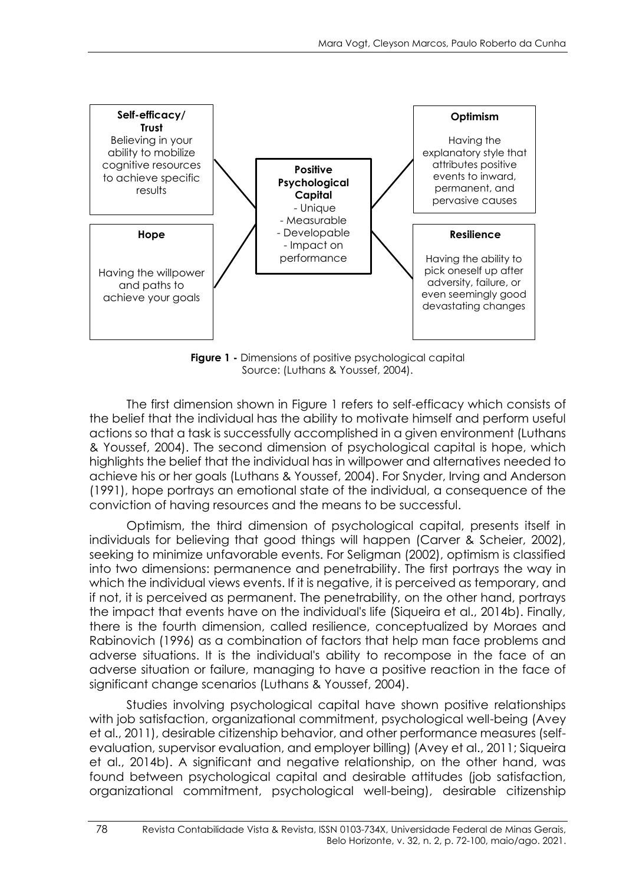

**Figure 1 -** Dimensions of positive psychological capital Source: (Luthans & Youssef, 2004).

The first dimension shown in Figure 1 refers to self-efficacy which consists of the belief that the individual has the ability to motivate himself and perform useful actions so that a task is successfully accomplished in a given environment (Luthans & Youssef, 2004). The second dimension of psychological capital is hope, which highlights the belief that the individual has in willpower and alternatives needed to achieve his or her goals (Luthans & Youssef, 2004). For Snyder, Irving and Anderson (1991), hope portrays an emotional state of the individual, a consequence of the conviction of having resources and the means to be successful.

Optimism, the third dimension of psychological capital, presents itself in individuals for believing that good things will happen (Carver & Scheier, 2002), seeking to minimize unfavorable events. For Seligman (2002), optimism is classified into two dimensions: permanence and penetrability. The first portrays the way in which the individual views events. If it is negative, it is perceived as temporary, and if not, it is perceived as permanent. The penetrability, on the other hand, portrays the impact that events have on the individual's life (Siqueira et al., 2014b). Finally, there is the fourth dimension, called resilience, conceptualized by Moraes and Rabinovich (1996) as a combination of factors that help man face problems and adverse situations. It is the individual's ability to recompose in the face of an adverse situation or failure, managing to have a positive reaction in the face of significant change scenarios (Luthans & Youssef, 2004).

Studies involving psychological capital have shown positive relationships with job satisfaction, organizational commitment, psychological well-being (Avey et al., 2011), desirable citizenship behavior, and other performance measures (selfevaluation, supervisor evaluation, and employer billing) (Avey et al., 2011; Siqueira et al., 2014b). A significant and negative relationship, on the other hand, was found between psychological capital and desirable attitudes (job satisfaction, organizational commitment, psychological well-being), desirable citizenship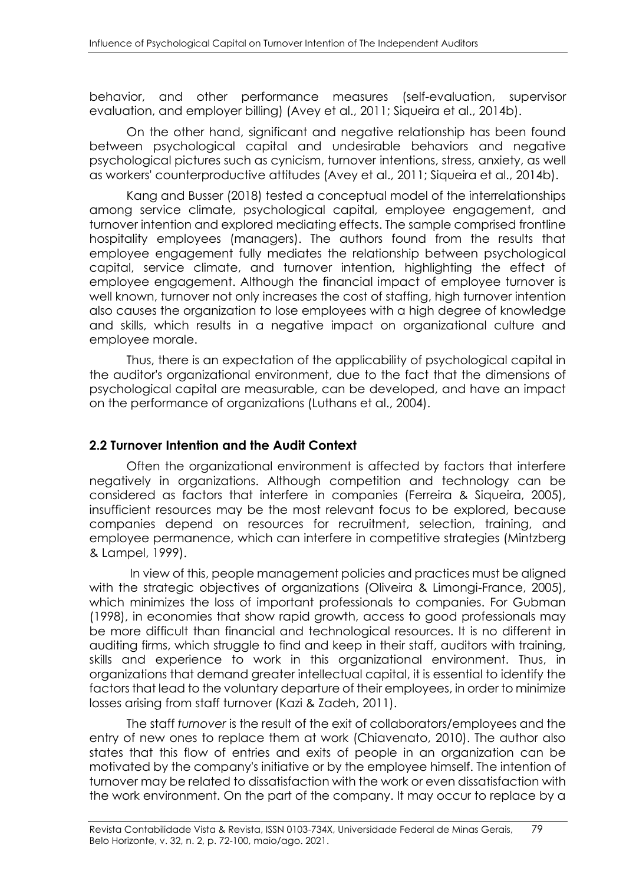behavior, and other performance measures (self-evaluation, supervisor evaluation, and employer billing) (Avey et al., 2011; Siqueira et al., 2014b).

On the other hand, significant and negative relationship has been found between psychological capital and undesirable behaviors and negative psychological pictures such as cynicism, turnover intentions, stress, anxiety, as well as workers' counterproductive attitudes (Avey et al., 2011; Siqueira et al., 2014b).

Kang and Busser (2018) tested a conceptual model of the interrelationships among service climate, psychological capital, employee engagement, and turnover intention and explored mediating effects. The sample comprised frontline hospitality employees (managers). The authors found from the results that employee engagement fully mediates the relationship between psychological capital, service climate, and turnover intention, highlighting the effect of employee engagement. Although the financial impact of employee turnover is well known, turnover not only increases the cost of staffing, high turnover intention also causes the organization to lose employees with a high degree of knowledge and skills, which results in a negative impact on organizational culture and employee morale.

Thus, there is an expectation of the applicability of psychological capital in the auditor's organizational environment, due to the fact that the dimensions of psychological capital are measurable, can be developed, and have an impact on the performance of organizations (Luthans et al., 2004).

### **2.2 Turnover Intention and the Audit Context**

Often the organizational environment is affected by factors that interfere negatively in organizations. Although competition and technology can be considered as factors that interfere in companies (Ferreira & Siqueira, 2005), insufficient resources may be the most relevant focus to be explored, because companies depend on resources for recruitment, selection, training, and employee permanence, which can interfere in competitive strategies (Mintzberg & Lampel, 1999).

In view of this, people management policies and practices must be aligned with the strategic objectives of organizations (Oliveira & Limongi-France, 2005), which minimizes the loss of important professionals to companies. For Gubman (1998), in economies that show rapid growth, access to good professionals may be more difficult than financial and technological resources. It is no different in auditing firms, which struggle to find and keep in their staff, auditors with training, skills and experience to work in this organizational environment. Thus, in organizations that demand greater intellectual capital, it is essential to identify the factors that lead to the voluntary departure of their employees, in order to minimize losses arising from staff turnover (Kazi & Zadeh, 2011).

The staff *turnover* is the result of the exit of collaborators/employees and the entry of new ones to replace them at work (Chiavenato, 2010). The author also states that this flow of entries and exits of people in an organization can be motivated by the company's initiative or by the employee himself. The intention of turnover may be related to dissatisfaction with the work or even dissatisfaction with the work environment. On the part of the company. It may occur to replace by a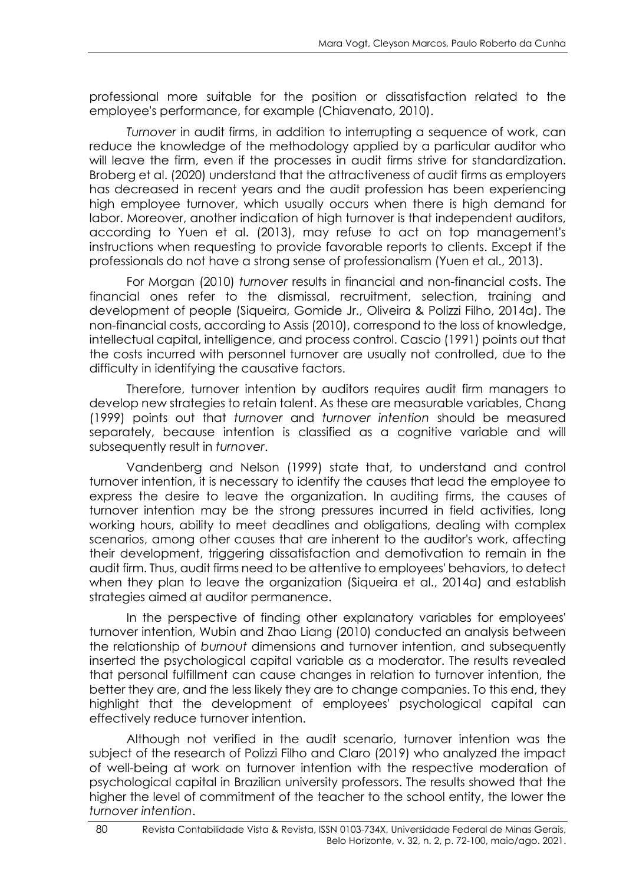professional more suitable for the position or dissatisfaction related to the employee's performance, for example (Chiavenato, 2010).

*Turnover* in audit firms, in addition to interrupting a sequence of work, can reduce the knowledge of the methodology applied by a particular auditor who will leave the firm, even if the processes in audit firms strive for standardization. Broberg et al. (2020) understand that the attractiveness of audit firms as employers has decreased in recent years and the audit profession has been experiencing high employee turnover, which usually occurs when there is high demand for labor. Moreover, another indication of high turnover is that independent auditors, according to Yuen et al. (2013), may refuse to act on top management's instructions when requesting to provide favorable reports to clients. Except if the professionals do not have a strong sense of professionalism (Yuen et al., 2013).

For Morgan (2010) *turnover* results in financial and non-financial costs. The financial ones refer to the dismissal, recruitment, selection, training and development of people (Siqueira, Gomide Jr., Oliveira & Polizzi Filho, 2014a). The non-financial costs, according to Assis (2010), correspond to the loss of knowledge, intellectual capital, intelligence, and process control. Cascio (1991) points out that the costs incurred with personnel turnover are usually not controlled, due to the difficulty in identifying the causative factors.

Therefore, turnover intention by auditors requires audit firm managers to develop new strategies to retain talent. As these are measurable variables, Chang (1999) points out that *turnover* and *turnover intention* should be measured separately, because intention is classified as a cognitive variable and will subsequently result in *turnover*.

Vandenberg and Nelson (1999) state that, to understand and control turnover intention, it is necessary to identify the causes that lead the employee to express the desire to leave the organization. In auditing firms, the causes of turnover intention may be the strong pressures incurred in field activities, long working hours, ability to meet deadlines and obligations, dealing with complex scenarios, among other causes that are inherent to the auditor's work, affecting their development, triggering dissatisfaction and demotivation to remain in the audit firm. Thus, audit firms need to be attentive to employees' behaviors, to detect when they plan to leave the organization (Siqueira et al., 2014a) and establish strategies aimed at auditor permanence.

In the perspective of finding other explanatory variables for employees' turnover intention, Wubin and Zhao Liang (2010) conducted an analysis between the relationship of *burnout* dimensions and turnover intention, and subsequently inserted the psychological capital variable as a moderator. The results revealed that personal fulfillment can cause changes in relation to turnover intention, the better they are, and the less likely they are to change companies. To this end, they highlight that the development of employees' psychological capital can effectively reduce turnover intention.

Although not verified in the audit scenario, turnover intention was the subject of the research of Polizzi Filho and Claro (2019) who analyzed the impact of well-being at work on turnover intention with the respective moderation of psychological capital in Brazilian university professors. The results showed that the higher the level of commitment of the teacher to the school entity, the lower the *turnover intention*.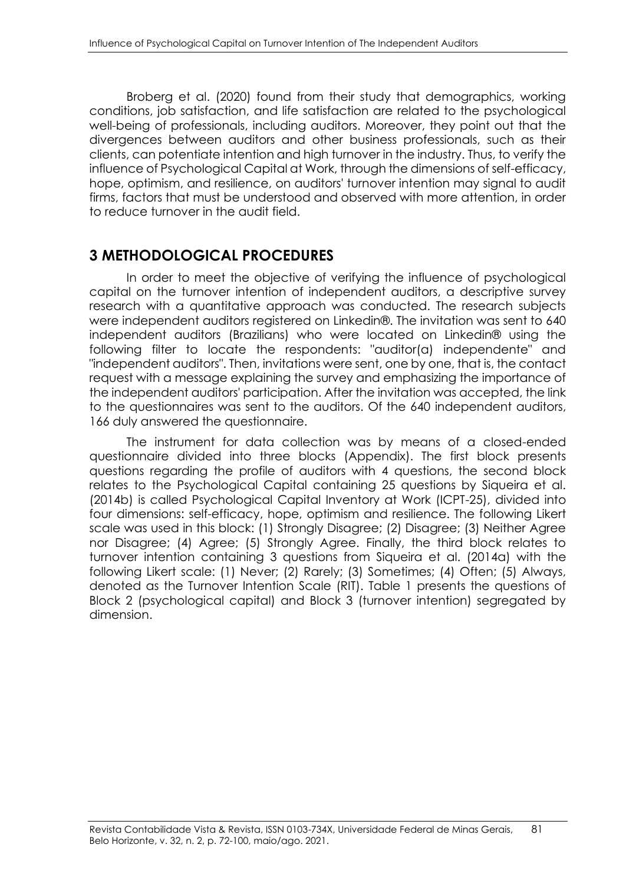Broberg et al. (2020) found from their study that demographics, working conditions, job satisfaction, and life satisfaction are related to the psychological well-being of professionals, including auditors. Moreover, they point out that the divergences between auditors and other business professionals, such as their clients, can potentiate intention and high turnover in the industry. Thus, to verify the influence of Psychological Capital at Work, through the dimensions of self-efficacy, hope, optimism, and resilience, on auditors' turnover intention may signal to audit firms, factors that must be understood and observed with more attention, in order to reduce turnover in the audit field.

## **3 METHODOLOGICAL PROCEDURES**

In order to meet the objective of verifying the influence of psychological capital on the turnover intention of independent auditors, a descriptive survey research with a quantitative approach was conducted. The research subjects were independent auditors registered on Linkedin®. The invitation was sent to 640 independent auditors (Brazilians) who were located on Linkedin® using the following filter to locate the respondents: "auditor(a) independente" and "independent auditors". Then, invitations were sent, one by one, that is, the contact request with a message explaining the survey and emphasizing the importance of the independent auditors' participation. After the invitation was accepted, the link to the questionnaires was sent to the auditors. Of the 640 independent auditors, 166 duly answered the questionnaire.

The instrument for data collection was by means of a closed-ended questionnaire divided into three blocks (Appendix). The first block presents questions regarding the profile of auditors with 4 questions, the second block relates to the Psychological Capital containing 25 questions by Siqueira et al. (2014b) is called Psychological Capital Inventory at Work (ICPT-25), divided into four dimensions: self-efficacy, hope, optimism and resilience. The following Likert scale was used in this block: (1) Strongly Disagree; (2) Disagree; (3) Neither Agree nor Disagree; (4) Agree; (5) Strongly Agree. Finally, the third block relates to turnover intention containing 3 questions from Siqueira et al. (2014a) with the following Likert scale: (1) Never; (2) Rarely; (3) Sometimes; (4) Often; (5) Always, denoted as the Turnover Intention Scale (RIT). Table 1 presents the questions of Block 2 (psychological capital) and Block 3 (turnover intention) segregated by dimension.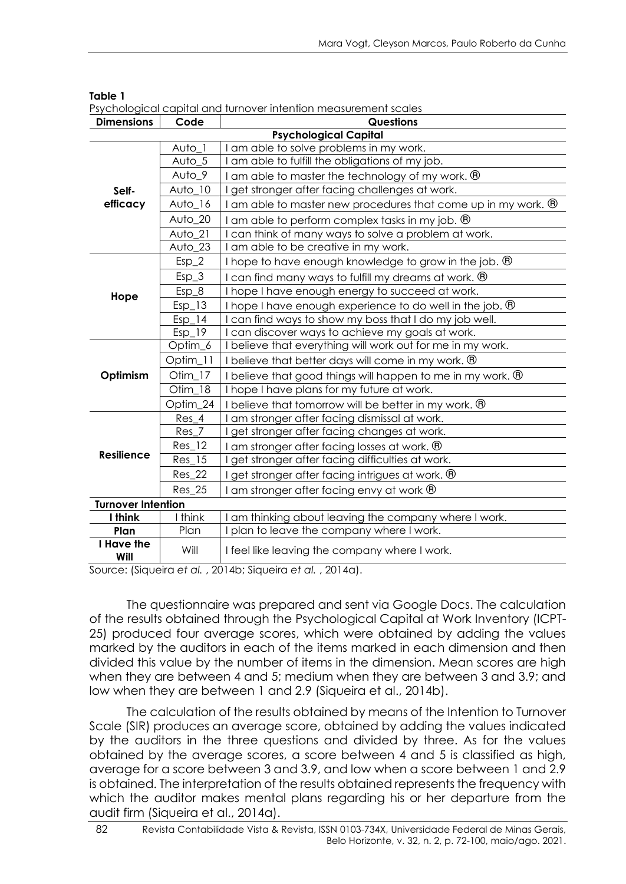|                           |                     | т зуспоюдсаг сарнагана төнгөүст інгеннон птеазогентені зсагез            |
|---------------------------|---------------------|--------------------------------------------------------------------------|
| <b>Dimensions</b>         | Code                | <b>Questions</b>                                                         |
|                           |                     | <b>Psychological Capital</b>                                             |
|                           | Auto_1              | am able to solve problems in my work.                                    |
|                           | Auto_5              | am able to fulfill the obligations of my job.                            |
|                           | Auto_9              | I am able to master the technology of my work. $\mathcal{B}$             |
| Self-                     | Auto_10             | get stronger after facing challenges at work.                            |
| efficacy                  | Auto_16             | I am able to master new procedures that come up in my work. $\mathcal D$ |
|                           | Auto 20             | I am able to perform complex tasks in my job. $\circledR$                |
|                           | $Avto_21$           | can think of many ways to solve a problem at work.                       |
|                           | Auto_23             | I am able to be creative in my work.                                     |
|                           | $Esp_2$             | I hope to have enough knowledge to grow in the job. $\mathcal D$         |
|                           | $Esp_3$             | I can find many ways to fulfill my dreams at work. ®                     |
| Hope                      | $Esp_8$             | I hope I have enough energy to succeed at work.                          |
|                           | $Esp_13$            | I hope I have enough experience to do well in the job. $\mathcal D$      |
|                           | $Esp_1\overline{4}$ | I can find ways to show my boss that I do my job well.                   |
|                           | $Esp$ 19            | I can discover ways to achieve my goals at work.                         |
|                           | Optim_6             | I believe that everything will work out for me in my work.               |
|                           | Optim_11            | I believe that better days will come in my work. ®                       |
| Optimism                  | Otim_17             | I believe that good things will happen to me in my work. $\Theta$        |
|                           | Otim 18             | I hope I have plans for my future at work.                               |
|                           | Optim_24            | I believe that tomorrow will be better in my work. ®                     |
|                           | Res 4               | I am stronger after facing dismissal at work.                            |
|                           | $Res_7$             | get stronger after facing changes at work.                               |
|                           | $Res_1$ 12          | I am stronger after facing losses at work. $\mathcal D$                  |
| <b>Resilience</b>         | $Res_{15}$          | get stronger after facing difficulties at work.                          |
|                           | Res 22              | I get stronger after facing intrigues at work. $\circledR$               |
|                           | $Res_2 25$          | I am stronger after facing envy at work $\circledR$                      |
| <b>Turnover Intention</b> |                     |                                                                          |
| I think                   | I think             | I am thinking about leaving the company where I work.                    |
| Plan                      | Plan                | I plan to leave the company where I work.                                |
| I Have the<br>Will        | Will                | I feel like leaving the company where I work.                            |

Psychological capital and turnover intention measurement scales

Source: (Siqueira *et al.* , 2014b; Siqueira *et al.* , 2014a).

The questionnaire was prepared and sent via Google Docs. The calculation of the results obtained through the Psychological Capital at Work Inventory (ICPT-25) produced four average scores, which were obtained by adding the values marked by the auditors in each of the items marked in each dimension and then divided this value by the number of items in the dimension. Mean scores are high when they are between 4 and 5; medium when they are between 3 and 3.9; and low when they are between 1 and 2.9 (Siqueira et al., 2014b).

The calculation of the results obtained by means of the Intention to Turnover Scale (SIR) produces an average score, obtained by adding the values indicated by the auditors in the three questions and divided by three. As for the values obtained by the average scores, a score between 4 and 5 is classified as high, average for a score between 3 and 3.9, and low when a score between 1 and 2.9 is obtained. The interpretation of the results obtained represents the frequency with which the auditor makes mental plans regarding his or her departure from the audit firm (Siqueira et al., 2014a).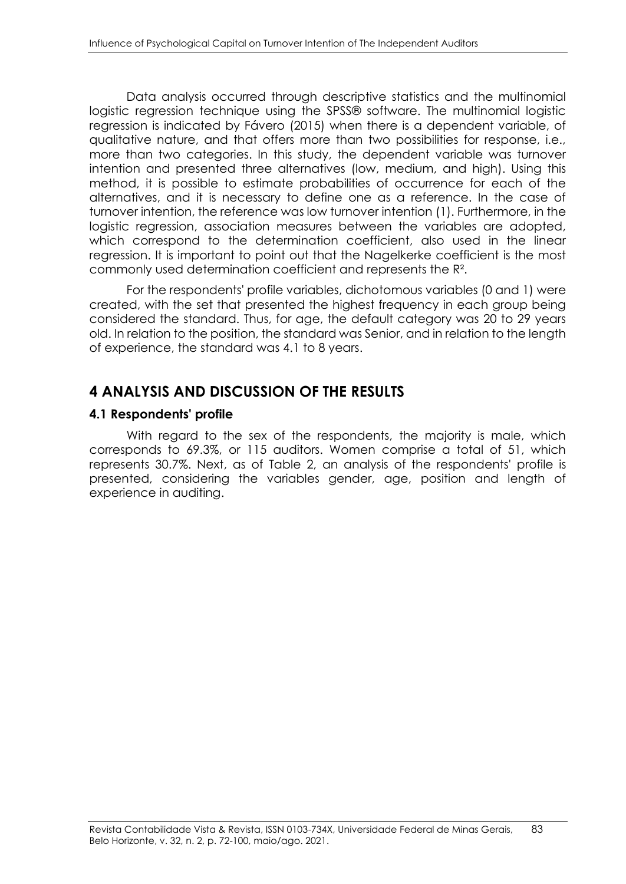Data analysis occurred through descriptive statistics and the multinomial logistic regression technique using the SPSS® software. The multinomial logistic regression is indicated by Fávero (2015) when there is a dependent variable, of qualitative nature, and that offers more than two possibilities for response, i.e., more than two categories. In this study, the dependent variable was turnover intention and presented three alternatives (low, medium, and high). Using this method, it is possible to estimate probabilities of occurrence for each of the alternatives, and it is necessary to define one as a reference. In the case of turnover intention, the reference was low turnover intention (1). Furthermore, in the logistic regression, association measures between the variables are adopted, which correspond to the determination coefficient, also used in the linear regression. It is important to point out that the Nagelkerke coefficient is the most commonly used determination coefficient and represents the R².

For the respondents' profile variables, dichotomous variables (0 and 1) were created, with the set that presented the highest frequency in each group being considered the standard. Thus, for age, the default category was 20 to 29 years old. In relation to the position, the standard was Senior, and in relation to the length of experience, the standard was 4.1 to 8 years.

# **4 ANALYSIS AND DISCUSSION OF THE RESULTS**

### **4.1 Respondents' profile**

With regard to the sex of the respondents, the majority is male, which corresponds to 69.3%, or 115 auditors. Women comprise a total of 51, which represents 30.7%. Next, as of Table 2, an analysis of the respondents' profile is presented, considering the variables gender, age, position and length of experience in auditing.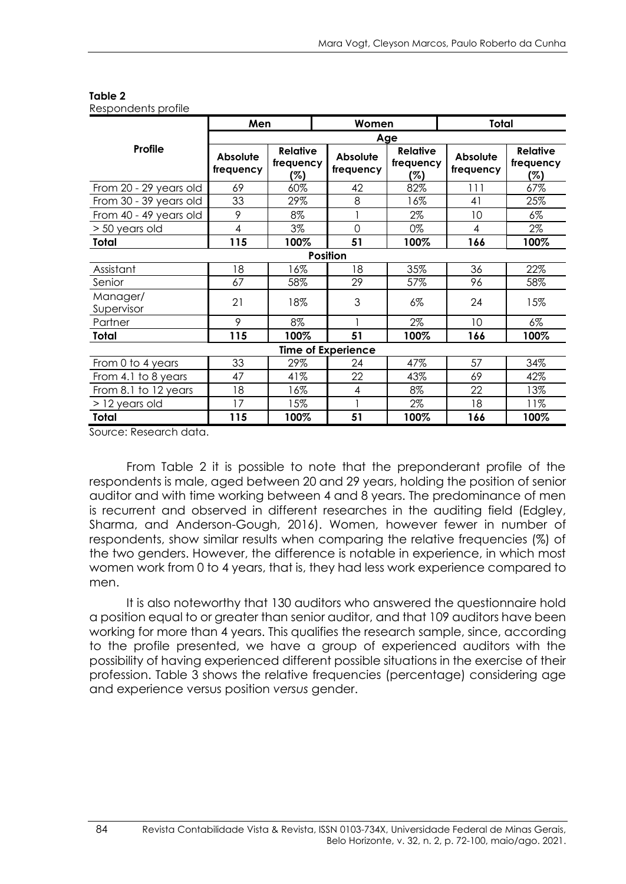|                                           | Men                   |                                     | Women                     |                                     | <b>Total</b>          |                                     |  |  |  |
|-------------------------------------------|-----------------------|-------------------------------------|---------------------------|-------------------------------------|-----------------------|-------------------------------------|--|--|--|
|                                           | Age                   |                                     |                           |                                     |                       |                                     |  |  |  |
| Profile                                   | Absolute<br>frequency | <b>Relative</b><br>frequency<br>(%) | Absolute<br>frequency     | <b>Relative</b><br>frequency<br>(%) | Absolute<br>frequency | <b>Relative</b><br>frequency<br>(%) |  |  |  |
| From 20 - 29 years old                    | 69                    | 60%                                 | 42                        | 82%                                 | 111                   | 67%                                 |  |  |  |
| From 30 - 39 years old                    | 33                    | 29%                                 | 8                         | 16%                                 | 41                    | 25%                                 |  |  |  |
| From 40 - 49 years old                    | 9                     | 8%                                  |                           | 2%                                  | 10                    | 6%                                  |  |  |  |
| > 50 years old                            | 4                     | $3\%$                               | $\overline{0}$            | 0%                                  | 4                     | 2%                                  |  |  |  |
| Total                                     | 115                   | 100%                                | 51                        | 100%                                | 166                   | 100%                                |  |  |  |
|                                           |                       |                                     | <b>Position</b>           |                                     |                       |                                     |  |  |  |
| Assistant                                 | 18                    | 16%                                 | 18                        | 35%                                 | 36                    | 22%                                 |  |  |  |
| Senior                                    | 67                    | 58%                                 | 29                        | 57%                                 | 96                    | 58%                                 |  |  |  |
| Manager/<br>Supervisor                    | 21                    | 18%                                 | 3                         | $6\%$                               | 24                    | 15%                                 |  |  |  |
| Partner                                   | 9                     | 8%                                  |                           | 2%                                  | 10                    | $6\%$                               |  |  |  |
| Total                                     | 115                   | 100%                                | 51                        | 100%                                | 166                   | 100%                                |  |  |  |
|                                           |                       |                                     | <b>Time of Experience</b> |                                     |                       |                                     |  |  |  |
| From 0 to 4 years                         | 33                    | 29%                                 | 24                        | 47%                                 | 57                    | 34%                                 |  |  |  |
| From 4.1 to 8 years                       | 47                    | 41%                                 | 22                        | 43%                                 | 69                    | 42%                                 |  |  |  |
| From 8.1 to 12 years                      | 18                    | 16%                                 | $\overline{\mathcal{A}}$  | 8%                                  | 22                    | 13%                                 |  |  |  |
| $>$ 12 years old                          | 17                    | 15%                                 |                           | 2%                                  | 18                    | 11%                                 |  |  |  |
| <b>Total</b><br>بالمتحال والمنا<br>$\sim$ | 115                   | 100%                                | 51                        | 100%                                | 166                   | 100%                                |  |  |  |

Respondents profile

Source: Research data.

From Table 2 it is possible to note that the preponderant profile of the respondents is male, aged between 20 and 29 years, holding the position of senior auditor and with time working between 4 and 8 years. The predominance of men is recurrent and observed in different researches in the auditing field (Edgley, Sharma, and Anderson-Gough, 2016). Women, however fewer in number of respondents, show similar results when comparing the relative frequencies (%) of the two genders. However, the difference is notable in experience, in which most women work from 0 to 4 years, that is, they had less work experience compared to men.

It is also noteworthy that 130 auditors who answered the questionnaire hold a position equal to or greater than senior auditor, and that 109 auditors have been working for more than 4 years. This qualifies the research sample, since, according to the profile presented, we have a group of experienced auditors with the possibility of having experienced different possible situations in the exercise of their profession. Table 3 shows the relative frequencies (percentage) considering age and experience versus position *versus* gender.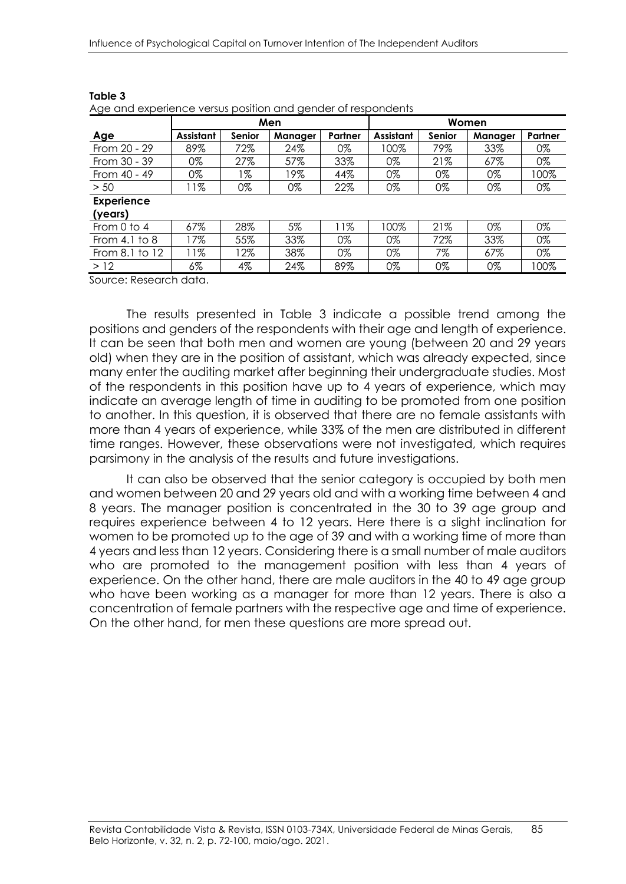|                   |                  |               | Men     |         | Women            |        |         |         |
|-------------------|------------------|---------------|---------|---------|------------------|--------|---------|---------|
| Age               | <b>Assistant</b> | <b>Senior</b> | Manager | Partner | <b>Assistant</b> | Senior | Manager | Partner |
| From 20 - 29      | 89%              | 72%           | 24%     | 0%      | 100%             | 79%    | 33%     | 0%      |
| From 30 - 39      | 0%               | 27%           | 57%     | 33%     | 0%               | 21%    | 67%     | 0%      |
| From 40 - 49      | 0%               | 1%            | 19%     | 44%     | 0%               | 0%     | 0%      | 100%    |
| > 50              | 11%              | 0%            | 0%      | 22%     | 0%               | 0%     | 0%      | 0%      |
| <b>Experience</b> |                  |               |         |         |                  |        |         |         |
| (years)           |                  |               |         |         |                  |        |         |         |
| From $0$ to $4$   | 67%              | 28%           | 5%      | 11%     | 100%             | 21%    | 0%      | 0%      |
| From 4.1 to $8$   | 17%              | 55%           | 33%     | 0%      | 0%               | 72%    | 33%     | 0%      |
| From 8.1 to 12    | 11%              | $12\%$        | 38%     | 0%      | 0%               | 7%     | 67%     | 0%      |
| >12               | $6\%$            | 4%            | 24%     | 89%     | 0%               | 0%     | 0%      | 100%    |
|                   |                  |               |         |         |                  |        |         |         |

Age and experience versus position and gender of respondents

Source: Research data.

The results presented in Table 3 indicate a possible trend among the positions and genders of the respondents with their age and length of experience. It can be seen that both men and women are young (between 20 and 29 years old) when they are in the position of assistant, which was already expected, since many enter the auditing market after beginning their undergraduate studies. Most of the respondents in this position have up to 4 years of experience, which may indicate an average length of time in auditing to be promoted from one position to another. In this question, it is observed that there are no female assistants with more than 4 years of experience, while 33% of the men are distributed in different time ranges. However, these observations were not investigated, which requires parsimony in the analysis of the results and future investigations.

It can also be observed that the senior category is occupied by both men and women between 20 and 29 years old and with a working time between 4 and 8 years. The manager position is concentrated in the 30 to 39 age group and requires experience between 4 to 12 years. Here there is a slight inclination for women to be promoted up to the age of 39 and with a working time of more than 4 years and less than 12 years. Considering there is a small number of male auditors who are promoted to the management position with less than 4 years of experience. On the other hand, there are male auditors in the 40 to 49 age group who have been working as a manager for more than 12 years. There is also a concentration of female partners with the respective age and time of experience. On the other hand, for men these questions are more spread out.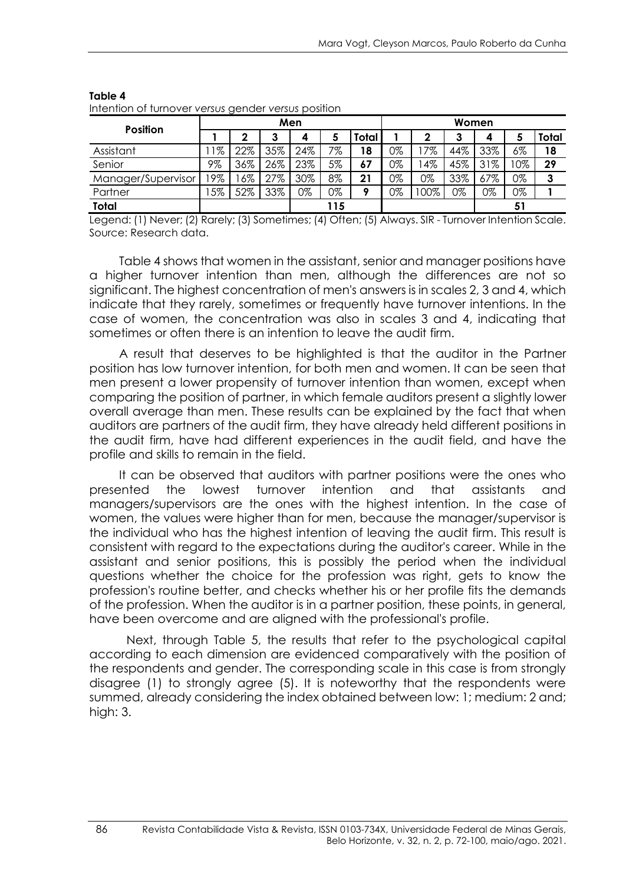|                    |     |       |     | Men |     |       | Women |        |         |     |    |       |
|--------------------|-----|-------|-----|-----|-----|-------|-------|--------|---------|-----|----|-------|
| <b>Position</b>    |     | ∩     |     | 4   | э   | Total |       | ∍      | າ<br>د٠ |     |    | Total |
| Assistant          | 1%  | 22%   | 35% | 24% | 7%  | 18    | 0%    | 7%     | 44%     | 33% | 6% | 18    |
| Senior             | 9%  | 36%   | 26% | 23% | 5%  | 67    | 0%    | 4%     | 45%     | 31% | 0% | 29    |
| Manager/Supervisor | 19% | $6\%$ | 27% | 30% | 8%  | 21    | 0%    | 0%     | 33%     | 67% | 0% | 3     |
| Partner            | 5%  | 52%   | 33% | 0%  | 0%  |       | 0%    | $00\%$ | 0%      | 0%  | 0% |       |
| Total              |     |       |     |     | 115 |       |       |        |         |     | 51 |       |

Intention of turnover *versus* gender *versus* position

Legend: (1) Never; (2) Rarely; (3) Sometimes; (4) Often; (5) Always. SIR - Turnover Intention Scale. Source: Research data.

Table 4 shows that women in the assistant, senior and manager positions have a higher turnover intention than men, although the differences are not so significant. The highest concentration of men's answers is in scales 2, 3 and 4, which indicate that they rarely, sometimes or frequently have turnover intentions. In the case of women, the concentration was also in scales 3 and 4, indicating that sometimes or often there is an intention to leave the audit firm.

A result that deserves to be highlighted is that the auditor in the Partner position has low turnover intention, for both men and women. It can be seen that men present a lower propensity of turnover intention than women, except when comparing the position of partner, in which female auditors present a slightly lower overall average than men. These results can be explained by the fact that when auditors are partners of the audit firm, they have already held different positions in the audit firm, have had different experiences in the audit field, and have the profile and skills to remain in the field.

It can be observed that auditors with partner positions were the ones who presented the lowest turnover intention and that assistants and managers/supervisors are the ones with the highest intention. In the case of women, the values were higher than for men, because the manager/supervisor is the individual who has the highest intention of leaving the audit firm. This result is consistent with regard to the expectations during the auditor's career. While in the assistant and senior positions, this is possibly the period when the individual questions whether the choice for the profession was right, gets to know the profession's routine better, and checks whether his or her profile fits the demands of the profession. When the auditor is in a partner position, these points, in general, have been overcome and are aligned with the professional's profile.

Next, through Table 5, the results that refer to the psychological capital according to each dimension are evidenced comparatively with the position of the respondents and gender. The corresponding scale in this case is from strongly disagree (1) to strongly agree (5). It is noteworthy that the respondents were summed, already considering the index obtained between low: 1; medium: 2 and; high: 3.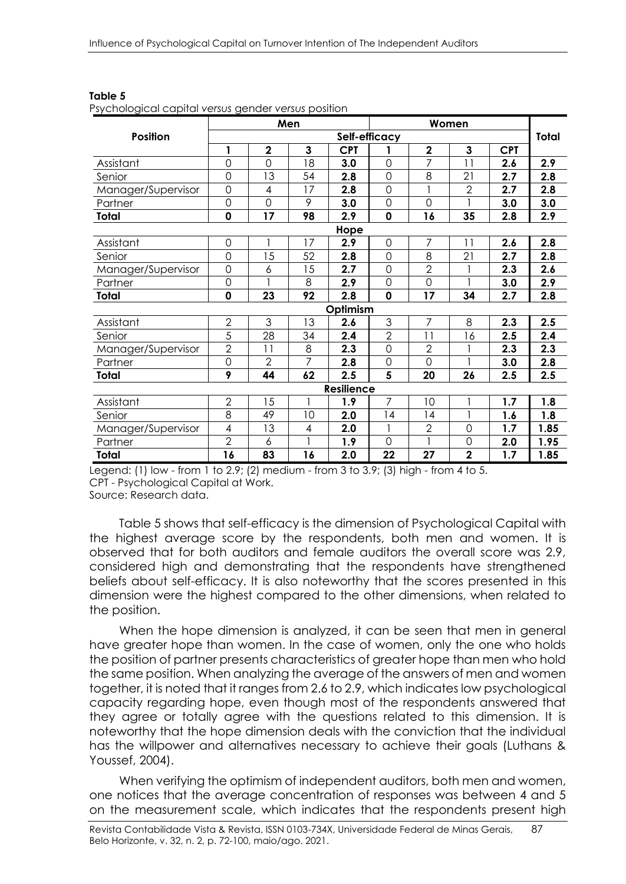| sycriciagical capital relises gorladi relises pesilioni |                     |                | Men            |                   |                | Women          |                |            |       |
|---------------------------------------------------------|---------------------|----------------|----------------|-------------------|----------------|----------------|----------------|------------|-------|
| <b>Position</b>                                         |                     |                |                |                   | Self-efficacy  |                |                |            | Total |
|                                                         | 1                   | $\mathbf 2$    | 3              | <b>CPT</b>        | 1              | $\mathbf 2$    | $\mathbf{3}$   | <b>CPT</b> |       |
| Assistant                                               | $\overline{O}$      | $\overline{O}$ | 18             | 3.0               | $\overline{0}$ | $\overline{7}$ | 11             | 2.6        | 2.9   |
| Senior                                                  | $\mathbf 0$         | 13             | 54             | 2.8               | $\mathbf 0$    | 8              | 21             | 2.7        | 2.8   |
| Manager/Supervisor                                      | $\mathsf O$         | 4              | 17             | 2.8               | $\overline{0}$ |                | $\overline{2}$ | 2.7        | 2.8   |
| Partner                                                 | $\overline{O}$      | $\overline{O}$ | 9              | 3.0               | $\overline{O}$ | $\Omega$       |                | 3.0        | 3.0   |
| Total                                                   | $\mathbf 0$         | 17             | 98             | 2.9               | $\mathbf 0$    | 16             | 35             | 2.8        | 2.9   |
|                                                         |                     |                |                | Hope              |                |                |                |            |       |
| Assistant                                               | $\mathsf{O}\xspace$ |                | 17             | 2.9               | $\mathbf 0$    | $\overline{7}$ | 11             | 2.6        | 2.8   |
| Senior                                                  | $\overline{0}$      | 15             | 52             | 2.8               | $\overline{0}$ | 8              | 21             | 2.7        | 2.8   |
| Manager/Supervisor                                      | $\overline{O}$      | 6              | 15             | 2.7               | $\overline{0}$ | $\overline{2}$ |                | 2.3        | 2.6   |
| Partner                                                 | $\overline{O}$      |                | 8              | 2.9               | $\overline{0}$ | $\overline{0}$ |                | 3.0        | 2.9   |
| Total                                                   | $\mathbf 0$         | 23             | 92             | 2.8               | 0              | 17             | 34             | 2.7        | 2.8   |
|                                                         |                     |                |                | Optimism          |                |                |                |            |       |
| Assistant                                               | $\overline{2}$      | 3              | 13             | 2.6               | 3              | 7              | 8              | 2.3        | 2.5   |
| Senior                                                  | 5                   | 28             | 34             | 2.4               | $\overline{2}$ | 11             | 16             | 2.5        | 2.4   |
| Manager/Supervisor                                      | $\overline{2}$      | 11             | 8              | 2.3               | $\mathbf 0$    | $\overline{2}$ |                | 2.3        | 2.3   |
| Partner                                                 | $\overline{O}$      | $\overline{2}$ | $\overline{7}$ | 2.8               | $\mathbf 0$    | $\Omega$       |                | 3.0        | 2.8   |
| Total                                                   | 9                   | 44             | 62             | 2.5               | 5              | 20             | 26             | 2.5        | 2.5   |
|                                                         |                     |                |                | <b>Resilience</b> |                |                |                |            |       |
| Assistant                                               | $\overline{2}$      | 15             | 1              | 1.9               | $\overline{7}$ | 10             |                | 1.7        | 1.8   |
| Senior                                                  | 8                   | 49             | 10             | 2.0               | 14             | 14             |                | 1.6        | 1.8   |
| Manager/Supervisor                                      | 4                   | 13             | 4              | 2.0               |                | $\overline{2}$ | $\mathbf 0$    | 1.7        | 1.85  |
| Partner                                                 | $\overline{2}$      | 6              | 1              | 1.9               | $\overline{0}$ |                | $\mathbf 0$    | 2.0        | 1.95  |
| Total                                                   | 16                  | 83             | 16             | 2.0               | 22             | 27             | $\overline{2}$ | 1.7        | 1.85  |

Psychological capital *versus* gender *versus* position

Legend: (1) low - from 1 to 2.9; (2) medium - from 3 to 3.9; (3) high - from 4 to 5. CPT - Psychological Capital at Work. Source: Research data.

Table 5 shows that self-efficacy is the dimension of Psychological Capital with the highest average score by the respondents, both men and women. It is observed that for both auditors and female auditors the overall score was 2.9, considered high and demonstrating that the respondents have strengthened beliefs about self-efficacy. It is also noteworthy that the scores presented in this dimension were the highest compared to the other dimensions, when related to the position.

When the hope dimension is analyzed, it can be seen that men in general have greater hope than women. In the case of women, only the one who holds the position of partner presents characteristics of greater hope than men who hold the same position. When analyzing the average of the answers of men and women together, it is noted that it ranges from 2.6 to 2.9, which indicates low psychological capacity regarding hope, even though most of the respondents answered that they agree or totally agree with the questions related to this dimension. It is noteworthy that the hope dimension deals with the conviction that the individual has the willpower and alternatives necessary to achieve their goals (Luthans & Youssef, 2004).

When verifying the optimism of independent auditors, both men and women, one notices that the average concentration of responses was between 4 and 5 on the measurement scale, which indicates that the respondents present high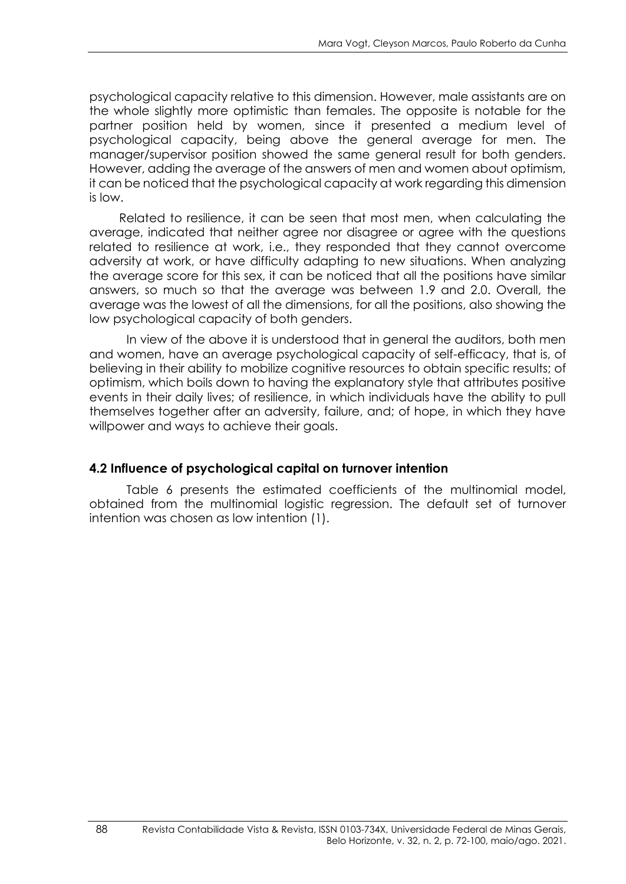psychological capacity relative to this dimension. However, male assistants are on the whole slightly more optimistic than females. The opposite is notable for the partner position held by women, since it presented a medium level of psychological capacity, being above the general average for men. The manager/supervisor position showed the same general result for both genders. However, adding the average of the answers of men and women about optimism, it can be noticed that the psychological capacity at work regarding this dimension is low.

Related to resilience, it can be seen that most men, when calculating the average, indicated that neither agree nor disagree or agree with the questions related to resilience at work, i.e., they responded that they cannot overcome adversity at work, or have difficulty adapting to new situations. When analyzing the average score for this sex, it can be noticed that all the positions have similar answers, so much so that the average was between 1.9 and 2.0. Overall, the average was the lowest of all the dimensions, for all the positions, also showing the low psychological capacity of both genders.

In view of the above it is understood that in general the auditors, both men and women, have an average psychological capacity of self-efficacy, that is, of believing in their ability to mobilize cognitive resources to obtain specific results; of optimism, which boils down to having the explanatory style that attributes positive events in their daily lives; of resilience, in which individuals have the ability to pull themselves together after an adversity, failure, and; of hope, in which they have willpower and ways to achieve their goals.

## **4.2 Influence of psychological capital on turnover intention**

Table 6 presents the estimated coefficients of the multinomial model, obtained from the multinomial logistic regression. The default set of turnover intention was chosen as low intention (1).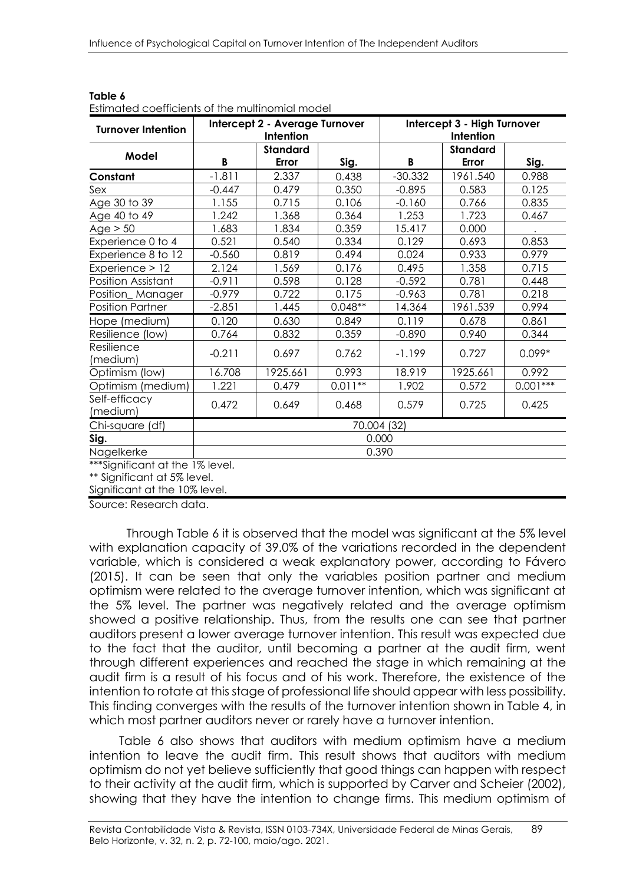| <b>Turnover Intention</b>       | Intercept 2 - Average Turnover<br>Intercept 3 - High Turnover<br>Intention<br>Intention |                 |           |             |                 |            |  |
|---------------------------------|-----------------------------------------------------------------------------------------|-----------------|-----------|-------------|-----------------|------------|--|
| Model                           |                                                                                         | <b>Standard</b> |           |             | <b>Standard</b> |            |  |
|                                 | B                                                                                       | Error           | Sig.      | В           | Error           | Sig.       |  |
| Constant                        | $-1.811$                                                                                | 2.337           | 0.438     | $-30.332$   | 1961.540        | 0.988      |  |
| Sex                             | $-0.447$                                                                                | 0.479           | 0.350     | $-0.895$    | 0.583           | 0.125      |  |
| Age 30 to 39                    | 1.155                                                                                   | 0.715           | 0.106     | $-0.160$    | 0.766           | 0.835      |  |
| Age 40 to 49                    | 1.242                                                                                   | 1.368           | 0.364     | 1.253       | 1.723           | 0.467      |  |
| Age > 50                        | 1.683                                                                                   | 1.834           | 0.359     | 15.417      | 0.000           |            |  |
| Experience 0 to 4               | 0.521                                                                                   | 0.540           | 0.334     | 0.129       | 0.693           | 0.853      |  |
| Experience 8 to 12              | $-0.560$                                                                                | 0.819           | 0.494     | 0.024       | 0.933           | 0.979      |  |
| Experience > 12                 | 2.124                                                                                   | 1.569           | 0.176     | 0.495       | 1.358           | 0.715      |  |
| Position Assistant              | $-0.911$                                                                                | 0.598           | 0.128     | $-0.592$    | 0.781           | 0.448      |  |
| Position_Manager                | $-0.979$                                                                                | 0.722           | 0.175     | $-0.963$    | 0.781           | 0.218      |  |
| <b>Position Partner</b>         | $-2.851$                                                                                | 1.445           | $0.048**$ | 14.364      | 1961.539        | 0.994      |  |
| Hope (medium)                   | 0.120                                                                                   | 0.630           | 0.849     | 0.119       | 0.678           | 0.861      |  |
| Resilience (low)                | 0.764                                                                                   | 0.832           | 0.359     | $-0.890$    | 0.940           | 0.344      |  |
| Resilience<br>(medium)          | $-0.211$                                                                                | 0.697           | 0.762     | $-1.199$    | 0.727           | $0.099*$   |  |
| Optimism (low)                  | 16.708                                                                                  | 1925.661        | 0.993     | 18.919      | 1925.661        | 0.992      |  |
| Optimism (medium)               | 1.221                                                                                   | 0.479           | $0.011**$ | 1.902       | 0.572           | $0.001***$ |  |
| Self-efficacy<br>(medium)       | 0.472                                                                                   | 0.649           | 0.468     | 0.579       | 0.725           | 0.425      |  |
| Chi-square (df)                 |                                                                                         |                 |           | 70.004 (32) |                 |            |  |
| Sig.                            |                                                                                         |                 |           | 0.000       |                 |            |  |
| Nagelkerke                      | 0.390                                                                                   |                 |           |             |                 |            |  |
| ***Sianificant at the 1% level. |                                                                                         |                 |           |             |                 |            |  |

| Table 6                                         |  |
|-------------------------------------------------|--|
| Estimated coefficients of the multinomial model |  |

\*\*\*Significant at the 1% level.

\*\* Significant at 5% level.

Significant at the 10% level.

Source: Research data.

Through Table 6 it is observed that the model was significant at the 5% level with explanation capacity of 39.0% of the variations recorded in the dependent variable, which is considered a weak explanatory power, according to Fávero (2015). It can be seen that only the variables position partner and medium optimism were related to the average turnover intention, which was significant at the 5% level. The partner was negatively related and the average optimism showed a positive relationship. Thus, from the results one can see that partner auditors present a lower average turnover intention. This result was expected due to the fact that the auditor, until becoming a partner at the audit firm, went through different experiences and reached the stage in which remaining at the audit firm is a result of his focus and of his work. Therefore, the existence of the intention to rotate at this stage of professional life should appear with less possibility. This finding converges with the results of the turnover intention shown in Table 4, in which most partner auditors never or rarely have a turnover intention.

Table 6 also shows that auditors with medium optimism have a medium intention to leave the audit firm. This result shows that auditors with medium optimism do not yet believe sufficiently that good things can happen with respect to their activity at the audit firm, which is supported by Carver and Scheier (2002), showing that they have the intention to change firms. This medium optimism of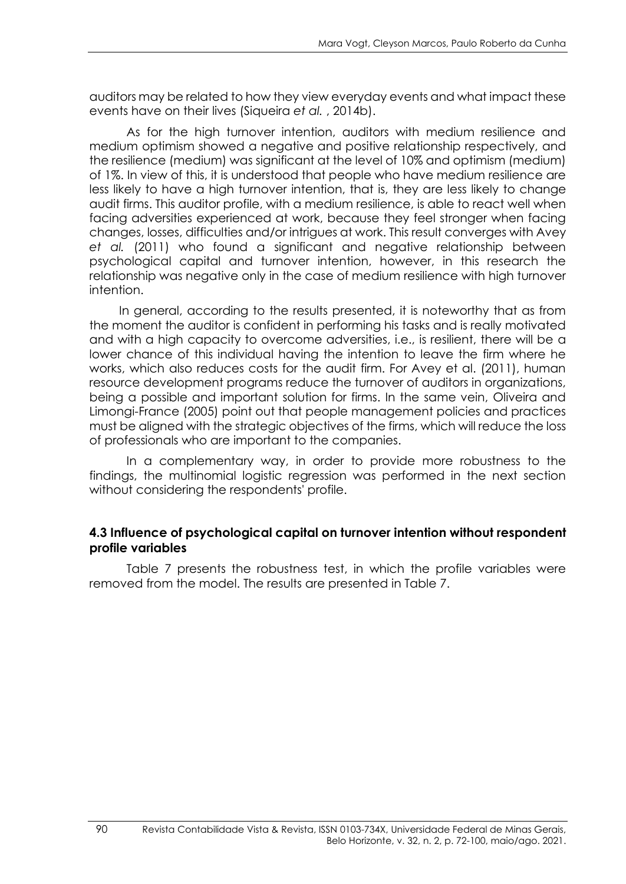auditors may be related to how they view everyday events and what impact these events have on their lives (Siqueira *et al.* , 2014b).

As for the high turnover intention, auditors with medium resilience and medium optimism showed a negative and positive relationship respectively, and the resilience (medium) was significant at the level of 10% and optimism (medium) of 1%. In view of this, it is understood that people who have medium resilience are less likely to have a high turnover intention, that is, they are less likely to change audit firms. This auditor profile, with a medium resilience, is able to react well when facing adversities experienced at work, because they feel stronger when facing changes, losses, difficulties and/or intrigues at work. This result converges with Avey *et al.* (2011) who found a significant and negative relationship between psychological capital and turnover intention, however, in this research the relationship was negative only in the case of medium resilience with high turnover intention.

In general, according to the results presented, it is noteworthy that as from the moment the auditor is confident in performing his tasks and is really motivated and with a high capacity to overcome adversities, i.e., is resilient, there will be a lower chance of this individual having the intention to leave the firm where he works, which also reduces costs for the audit firm. For Avey et al. (2011), human resource development programs reduce the turnover of auditors in organizations, being a possible and important solution for firms. In the same vein, Oliveira and Limongi-France (2005) point out that people management policies and practices must be aligned with the strategic objectives of the firms, which will reduce the loss of professionals who are important to the companies.

In a complementary way, in order to provide more robustness to the findings, the multinomial logistic regression was performed in the next section without considering the respondents' profile.

### **4.3 Influence of psychological capital on turnover intention without respondent profile variables**

Table 7 presents the robustness test, in which the profile variables were removed from the model. The results are presented in Table 7.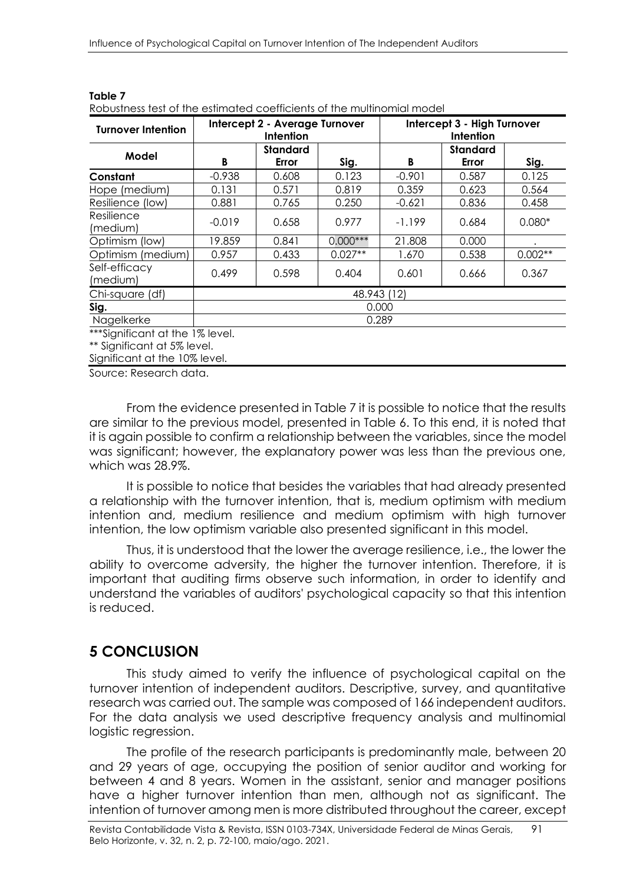| <b>Turnover Intention</b>          |             | Intercept 2 - Average Turnover<br><b>Intention</b> |            | Intercept 3 - High Turnover<br>Intention |                          |           |  |
|------------------------------------|-------------|----------------------------------------------------|------------|------------------------------------------|--------------------------|-----------|--|
| Model                              | B           | <b>Standard</b><br>Error                           | Sig.       | B                                        | <b>Standard</b><br>Error | Sig.      |  |
| Constant                           | $-0.938$    | 0.608                                              | 0.123      | $-0.901$                                 | 0.587                    | 0.125     |  |
| Hope (medium)                      | 0.131       | 0.571                                              | 0.819      | 0.359                                    | 0.623                    | 0.564     |  |
| Resilience (low)                   | 0.881       | 0.765                                              | 0.250      | $-0.621$                                 | 0.836                    | 0.458     |  |
| Resilience<br>(medium)             | $-0.019$    | 0.658                                              | 0.977      | $-1.199$                                 | 0.684                    | $0.080*$  |  |
| Optimism (low)                     | 19.859      | 0.841                                              | $0.000***$ | 21.808                                   | 0.000                    |           |  |
| Optimism (medium)                  | 0.957       | 0.433                                              | $0.027**$  | 1.670                                    | 0.538                    | $0.002**$ |  |
| Self-efficacy<br>(medium)          | 0.499       | 0.598                                              | 0.404      | 0.601                                    | 0.666                    | 0.367     |  |
| Chi-square (df)                    | 48.943 (12) |                                                    |            |                                          |                          |           |  |
| Sig.                               | 0.000       |                                                    |            |                                          |                          |           |  |
| Nagelkerke                         | 0.289       |                                                    |            |                                          |                          |           |  |
| $***$ Cianificate at the 107 level |             |                                                    |            |                                          |                          |           |  |

| Table 7 |                                                                        |  |
|---------|------------------------------------------------------------------------|--|
|         | Robustness test of the estimated coefficients of the multinomial model |  |

Significant at the 1% level.

\*\* Significant at 5% level.

Significant at the 10% level.

Source: Research data.

From the evidence presented in Table 7 it is possible to notice that the results are similar to the previous model, presented in Table 6. To this end, it is noted that it is again possible to confirm a relationship between the variables, since the model was significant; however, the explanatory power was less than the previous one, which was 28.9%.

It is possible to notice that besides the variables that had already presented a relationship with the turnover intention, that is, medium optimism with medium intention and, medium resilience and medium optimism with high turnover intention, the low optimism variable also presented significant in this model.

Thus, it is understood that the lower the average resilience, i.e., the lower the ability to overcome adversity, the higher the turnover intention. Therefore, it is important that auditing firms observe such information, in order to identify and understand the variables of auditors' psychological capacity so that this intention is reduced.

# **5 CONCLUSION**

This study aimed to verify the influence of psychological capital on the turnover intention of independent auditors. Descriptive, survey, and quantitative research was carried out. The sample was composed of 166 independent auditors. For the data analysis we used descriptive frequency analysis and multinomial logistic regression.

The profile of the research participants is predominantly male, between 20 and 29 years of age, occupying the position of senior auditor and working for between 4 and 8 years. Women in the assistant, senior and manager positions have a higher turnover intention than men, although not as significant. The intention of turnover among men is more distributed throughout the career, except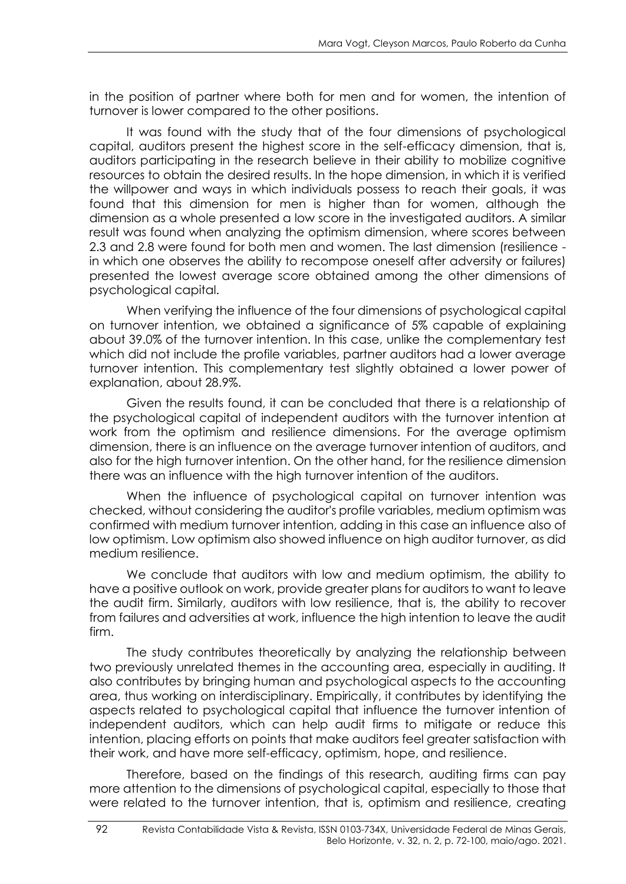in the position of partner where both for men and for women, the intention of turnover is lower compared to the other positions.

It was found with the study that of the four dimensions of psychological capital, auditors present the highest score in the self-efficacy dimension, that is, auditors participating in the research believe in their ability to mobilize cognitive resources to obtain the desired results. In the hope dimension, in which it is verified the willpower and ways in which individuals possess to reach their goals, it was found that this dimension for men is higher than for women, although the dimension as a whole presented a low score in the investigated auditors. A similar result was found when analyzing the optimism dimension, where scores between 2.3 and 2.8 were found for both men and women. The last dimension (resilience in which one observes the ability to recompose oneself after adversity or failures) presented the lowest average score obtained among the other dimensions of psychological capital.

When verifying the influence of the four dimensions of psychological capital on turnover intention, we obtained a significance of 5% capable of explaining about 39.0% of the turnover intention. In this case, unlike the complementary test which did not include the profile variables, partner auditors had a lower average turnover intention. This complementary test slightly obtained a lower power of explanation, about 28.9%.

Given the results found, it can be concluded that there is a relationship of the psychological capital of independent auditors with the turnover intention at work from the optimism and resilience dimensions. For the average optimism dimension, there is an influence on the average turnover intention of auditors, and also for the high turnover intention. On the other hand, for the resilience dimension there was an influence with the high turnover intention of the auditors.

When the influence of psychological capital on turnover intention was checked, without considering the auditor's profile variables, medium optimism was confirmed with medium turnover intention, adding in this case an influence also of low optimism. Low optimism also showed influence on high auditor turnover, as did medium resilience.

We conclude that auditors with low and medium optimism, the ability to have a positive outlook on work, provide greater plans for auditors to want to leave the audit firm. Similarly, auditors with low resilience, that is, the ability to recover from failures and adversities at work, influence the high intention to leave the audit firm.

The study contributes theoretically by analyzing the relationship between two previously unrelated themes in the accounting area, especially in auditing. It also contributes by bringing human and psychological aspects to the accounting area, thus working on interdisciplinary. Empirically, it contributes by identifying the aspects related to psychological capital that influence the turnover intention of independent auditors, which can help audit firms to mitigate or reduce this intention, placing efforts on points that make auditors feel greater satisfaction with their work, and have more self-efficacy, optimism, hope, and resilience.

Therefore, based on the findings of this research, auditing firms can pay more attention to the dimensions of psychological capital, especially to those that were related to the turnover intention, that is, optimism and resilience, creating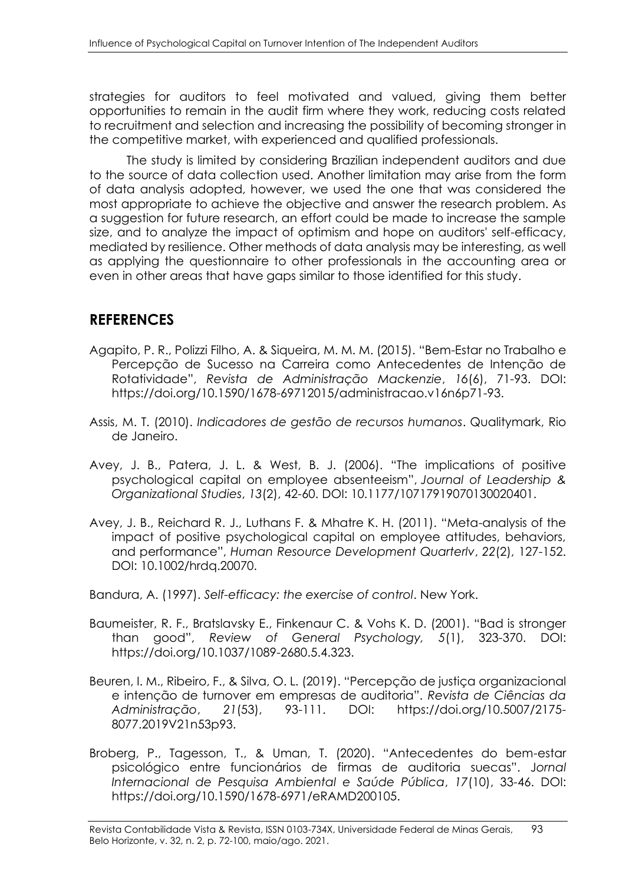strategies for auditors to feel motivated and valued, giving them better opportunities to remain in the audit firm where they work, reducing costs related to recruitment and selection and increasing the possibility of becoming stronger in the competitive market, with experienced and qualified professionals.

The study is limited by considering Brazilian independent auditors and due to the source of data collection used. Another limitation may arise from the form of data analysis adopted, however, we used the one that was considered the most appropriate to achieve the objective and answer the research problem. As a suggestion for future research, an effort could be made to increase the sample size, and to analyze the impact of optimism and hope on auditors' self-efficacy, mediated by resilience. Other methods of data analysis may be interesting, as well as applying the questionnaire to other professionals in the accounting area or even in other areas that have gaps similar to those identified for this study.

# **REFERENCES**

- Agapito, P. R., Polizzi Filho, A. & Siqueira, M. M. M. (2015). "Bem-Estar no Trabalho e Percepção de Sucesso na Carreira como Antecedentes de Intenção de Rotatividade", *Revista de Administração Mackenzie*, *16*(6), 71-93. DOI: https://doi.org/10.1590/1678-69712015/administracao.v16n6p71-93.
- Assis, M. T. (2010). *Indicadores de gestão de recursos humanos*. Qualitymark, Rio de Janeiro.
- Avey, J. B., Patera, J. L. & West, B. J. (2006). "The implications of positive psychological capital on employee absenteeism", *Journal of Leadership & Organizational Studies*, *13*(2), 42-60. DOI: 10.1177/10717919070130020401.
- Avey, J. B., Reichard R. J., Luthans F. & Mhatre K. H. (2011). "Meta-analysis of the impact of positive psychological capital on employee attitudes, behaviors, and performance", *Human Resource Development Quarterlv*, *22*(2), 127-152. DOI: 10.1002/hrdq.20070.
- Bandura, A. (1997). *Self-efficacy: the exercise of control*. New York.
- Baumeister, R. F., Bratslavsky E., Finkenaur C. & Vohs K. D. (2001). "Bad is stronger than good", *Review of General Psychology, 5*(1), 323-370. DOI: https://doi.org/10.1037/1089-2680.5.4.323.
- Beuren, I. M., Ribeiro, F., & Silva, O. L. (2019). "Percepção de justiça organizacional e intenção de turnover em empresas de auditoria". *Revista de Ciências da Administração*, *21*(53), 93-111. DOI: https://doi.org/10.5007/2175- 8077.2019V21n53p93.
- Broberg, P., Tagesson, T., & Uman, T. (2020). "Antecedentes do bem-estar psicológico entre funcionários de firmas de auditoria suecas". J*ornal Internacional de Pesquisa Ambiental e Saúde Pública*, *17*(10), 33-46. DOI: https://doi.org/10.1590/1678-6971/eRAMD200105.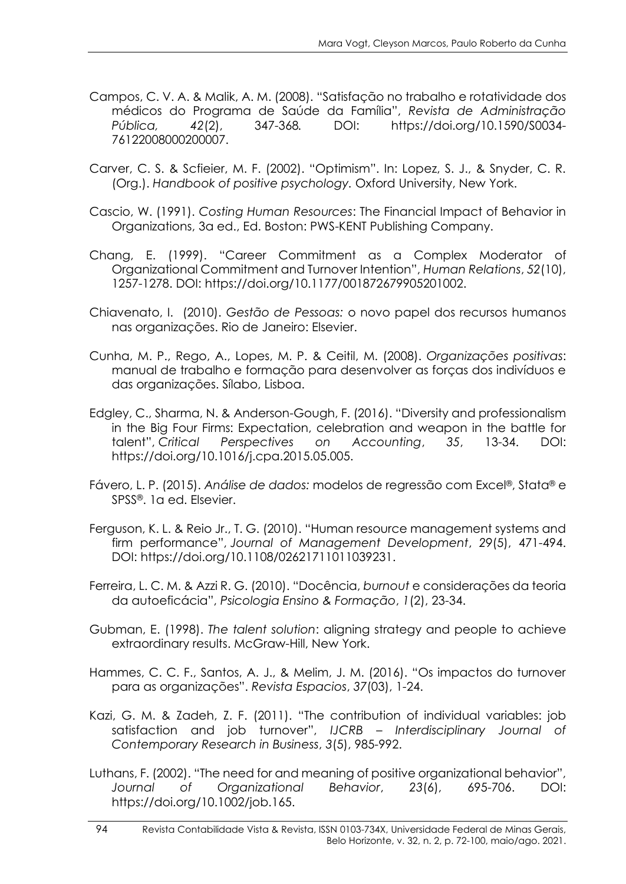- Campos, C. V. A. & Malik, A. M. (2008). "Satisfação no trabalho e rotatividade dos médicos do Programa de Saúde da Família", *Revista de Administração Pública, 42*(2), 347-368*.* DOI: https://doi.org/10.1590/S0034- 76122008000200007.
- Carver, C. S. & Scfieier, M. F. (2002). "Optimism". In: Lopez, S. J., & Snyder, C. R. (Org.). *Handbook of positive psychology.* Oxford University, New York.
- Cascio, W. (1991). *Costing Human Resources*: The Financial Impact of Behavior in Organizations, 3a ed., Ed. Boston: PWS-KENT Publishing Company.
- Chang, E. (1999). "Career Commitment as a Complex Moderator of Organizational Commitment and Turnover Intention", *Human Relations*, *52*(10), 1257-1278. DOI: https://doi.org/10.1177/001872679905201002.
- Chiavenato, I. (2010). *Gestão de Pessoas:* o novo papel dos recursos humanos nas organizações. Rio de Janeiro: Elsevier.
- Cunha, M. P., Rego, A., Lopes, M. P. & Ceitil, M. (2008). *Organizações positivas*: manual de trabalho e formação para desenvolver as forças dos indivíduos e das organizações. Sílabo, Lisboa.
- Edgley, C., Sharma, N. & Anderson-Gough, F. (2016). "Diversity and professionalism in the Big Four Firms: Expectation, celebration and weapon in the battle for talent", *Critical Perspectives on Accounting*, *35*, 13-34. DOI: https://doi.org/10.1016/j.cpa.2015.05.005.
- Fávero, L. P. (2015). *Análise de dados:* modelos de regressão com Excel®, Stata® e SPSS®. 1a ed. Elsevier.
- Ferguson, K. L. & Reio Jr., T. G. (2010). "Human resource management systems and firm performance", *Journal of Management Development*, *29*(5), 471-494. DOI: https://doi.org/10.1108/02621711011039231.
- Ferreira, L. C. M. & Azzi R. G. (2010). "Docência, *burnout* e considerações da teoria da autoeficácia", *Psicologia Ensino & Formação*, *1*(2), 23-34.
- Gubman, E. (1998). *The talent solution*: aligning strategy and people to achieve extraordinary results. McGraw-Hill, New York.
- Hammes, C. C. F., Santos, A. J., & Melim, J. M. (2016). "Os impactos do turnover para as organizações". *Revista Espacios*, *37*(03), 1-24.
- Kazi, G. M. & Zadeh, Z. F. (2011). "The contribution of individual variables: job satisfaction and job turnover", *IJCRB – Interdisciplinary Journal of Contemporary Research in Business*, *3*(5), 985-992.
- Luthans, F. (2002). "The need for and meaning of positive organizational behavior", *Journal of Organizational Behavior*, *23*(6), 695-706. DOI: https://doi.org/10.1002/job.165.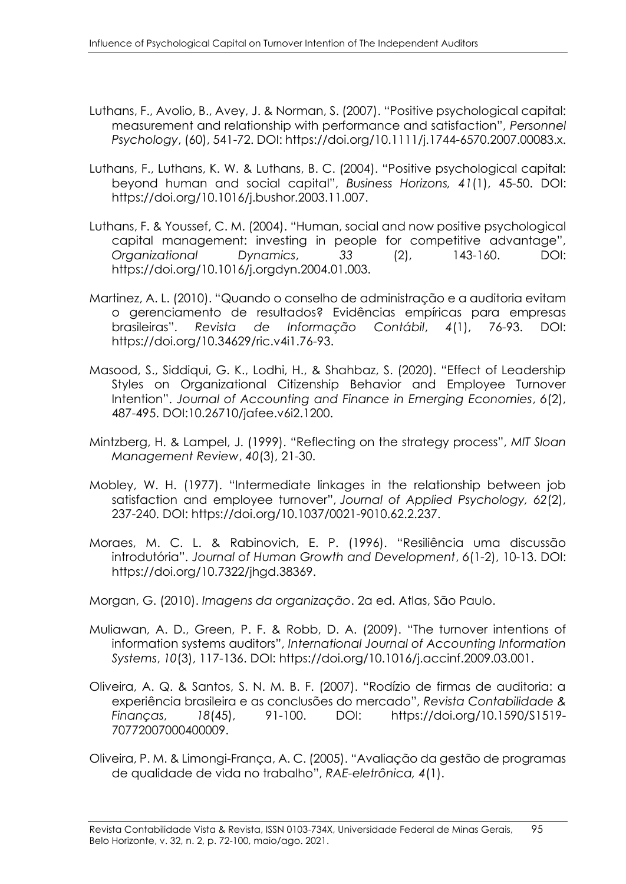- Luthans, F., Avolio, B., Avey, J. & Norman, S. (2007). "Positive psychological capital: measurement and relationship with performance and satisfaction", *Personnel Psychology*, (60), 541-72. DOI: https://doi.org/10.1111/j.1744-6570.2007.00083.x.
- Luthans, F., Luthans, K. W. & Luthans, B. C. (2004). "Positive psychological capital: beyond human and social capital", *Business Horizons, 41*(1), 45-50. DOI: https://doi.org/10.1016/j.bushor.2003.11.007.
- Luthans, F. & Youssef, C. M. (2004). "Human, social and now positive psychological capital management: investing in people for competitive advantage", *Organizational Dynamics*, *33* (2), 143-160. DOI: https://doi.org/10.1016/j.orgdyn.2004.01.003.
- Martinez, A. L. (2010). "Quando o conselho de administração e a auditoria evitam o gerenciamento de resultados? Evidências empíricas para empresas brasileiras". *Revista de Informação Contábil*, *4*(1), 76-93. DOI: https://doi.org/10.34629/ric.v4i1.76-93.
- Masood, S., Siddiqui, G. K., Lodhi, H., & Shahbaz, S. (2020). "Effect of Leadership Styles on Organizational Citizenship Behavior and Employee Turnover Intention". *Journal of Accounting and Finance in Emerging Economies*, *6*(2), 487-495. DOI:10.26710/jafee.v6i2.1200.
- Mintzberg, H. & Lampel, J. (1999). "Reflecting on the strategy process", *MIT Sloan Management Review*, *40*(3), 21-30.
- Mobley, W. H. (1977). "Intermediate linkages in the relationship between job satisfaction and employee turnover", *Journal of Applied Psychology, 62*(2), 237-240. DOI: https://doi.org/10.1037/0021-9010.62.2.237.
- Moraes, M. C. L. & Rabinovich, E. P. (1996). "Resiliência uma discussão introdutória". *Journal of Human Growth and Development*, *6*(1-2), 10-13. DOI: https://doi.org/10.7322/jhgd.38369.
- Morgan, G. (2010). *Imagens da organização*. 2a ed. Atlas, São Paulo.
- Muliawan, A. D., Green, P. F. & Robb, D. A. (2009). "The turnover intentions of information systems auditors", *International Journal of Accounting Information Systems*, *10*(3), 117-136. DOI: https://doi.org/10.1016/j.accinf.2009.03.001.
- Oliveira, A. Q. & Santos, S. N. M. B. F. (2007). "Rodízio de firmas de auditoria: a experiência brasileira e as conclusões do mercado", *Revista Contabilidade & Finanças*, *18*(45), 91-100. DOI: https://doi.org/10.1590/S1519- 70772007000400009.
- Oliveira, P. M. & Limongi-França, A. C. (2005). "Avaliação da gestão de programas de qualidade de vida no trabalho", *RAE-eletrônica, 4*(1).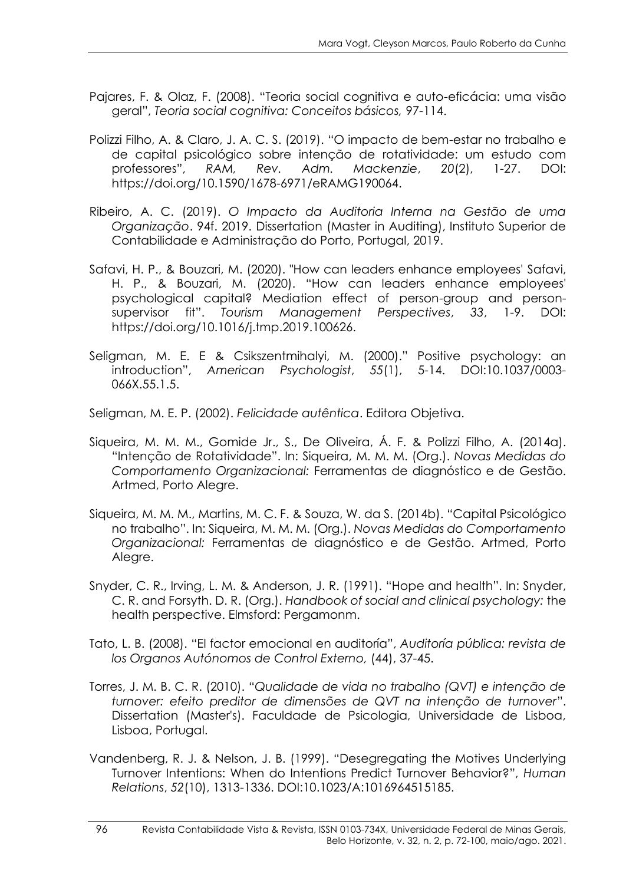- Pajares, F. & Olaz, F. (2008). "Teoria social cognitiva e auto-eficácia: uma visão geral", *Teoria social cognitiva: Conceitos básicos,* 97-114.
- Polizzi Filho, A. & Claro, J. A. C. S. (2019). "O impacto de bem-estar no trabalho e de capital psicológico sobre intenção de rotatividade: um estudo com professores", *RAM, Rev. Adm. Mackenzie*, *20*(2), 1-27. DOI: https://doi.org/10.1590/1678-6971/eRAMG190064.
- Ribeiro, A. C. (2019). *O Impacto da Auditoria Interna na Gestão de uma Organização*. 94f. 2019. Dissertation (Master in Auditing), Instituto Superior de Contabilidade e Administração do Porto, Portugal, 2019.
- Safavi, H. P., & Bouzari, M. (2020). "How can leaders enhance employees' Safavi, H. P., & Bouzari, M. (2020). "How can leaders enhance employees' psychological capital? Mediation effect of person-group and personsupervisor fit". *Tourism Management Perspectives*, *33*, 1-9. DOI: https://doi.org/10.1016/j.tmp.2019.100626.
- Seligman, M. E. E & Csikszentmihalyi, M. (2000)." Positive psychology: an introduction", *American Psychologist*, *55*(1), 5-14. DOI:10.1037/0003- 066X.55.1.5.

Seligman, M. E. P. (2002). *Felicidade autêntica*. Editora Objetiva.

- Siqueira, M. M. M., Gomide Jr., S., De Oliveira, Á. F. & Polizzi Filho, A. (2014a). "Intenção de Rotatividade". In: Siqueira, M. M. M. (Org.). *Novas Medidas do Comportamento Organizacional:* Ferramentas de diagnóstico e de Gestão. Artmed, Porto Alegre.
- Siqueira, M. M. M., Martins, M. C. F. & Souza, W. da S. (2014b). "Capital Psicológico no trabalho". In: Siqueira, M. M. M. (Org.). *Novas Medidas do Comportamento Organizacional:* Ferramentas de diagnóstico e de Gestão. Artmed, Porto Alegre.
- Snyder, C. R., Irving, L. M. & Anderson, J. R. (1991). "Hope and health". In: Snyder, C. R. and Forsyth. D. R. (Org.). *Handbook of social and clinical psychology:* the health perspective. Elmsford: Pergamonm.
- Tato, L. B. (2008). "El factor emocional en auditoría", *Auditoría pública: revista de los Organos Autónomos de Control Externo,* (44), 37-45.
- Torres, J. M. B. C. R. (2010). "*Qualidade de vida no trabalho (QVT) e intenção de turnover: efeito preditor de dimensões de QVT na intenção de turnover*". Dissertation (Master's). Faculdade de Psicologia, Universidade de Lisboa, Lisboa, Portugal.
- Vandenberg, R. J. & Nelson, J. B. (1999). "Desegregating the Motives Underlying Turnover Intentions: When do Intentions Predict Turnover Behavior?", *Human Relations*, *52*(10), 1313-1336. DOI:10.1023/A:1016964515185.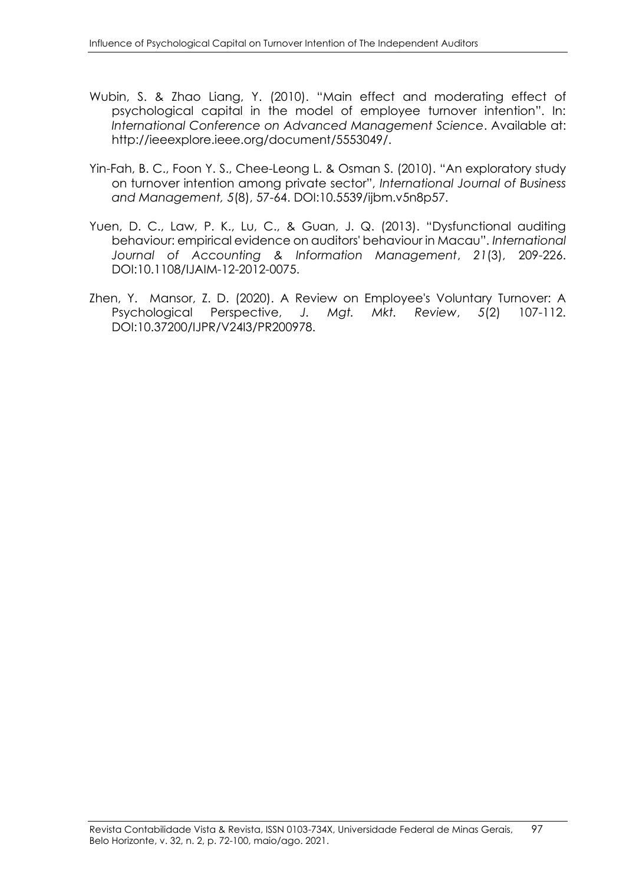- Wubin, S. & Zhao Liang, Y. (2010). "Main effect and moderating effect of psychological capital in the model of employee turnover intention". In: *International Conference on Advanced Management Science*. Available at: http://ieeexplore.ieee.org/document/5553049/.
- Yin-Fah, B. C., Foon Y. S., Chee-Leong L. & Osman S. (2010). "An exploratory study on turnover intention among private sector", *International Journal of Business and Management, 5*(8), 57-64. DOI:10.5539/ijbm.v5n8p57.
- Yuen, D. C., Law, P. K., Lu, C., & Guan, J. Q. (2013). "Dysfunctional auditing behaviour: empirical evidence on auditors' behaviour in Macau". *International Journal of Accounting & Information Management*, *21*(3), 209-226. DOI:10.1108/IJAIM-12-2012-0075.
- Zhen, Y. Mansor, Z. D. (2020). A Review on Employee's Voluntary Turnover: A Psychological Perspective, *J. Mgt. Mkt. Review*, *5*(2) 107-112. DOI:10.37200/IJPR/V24I3/PR200978.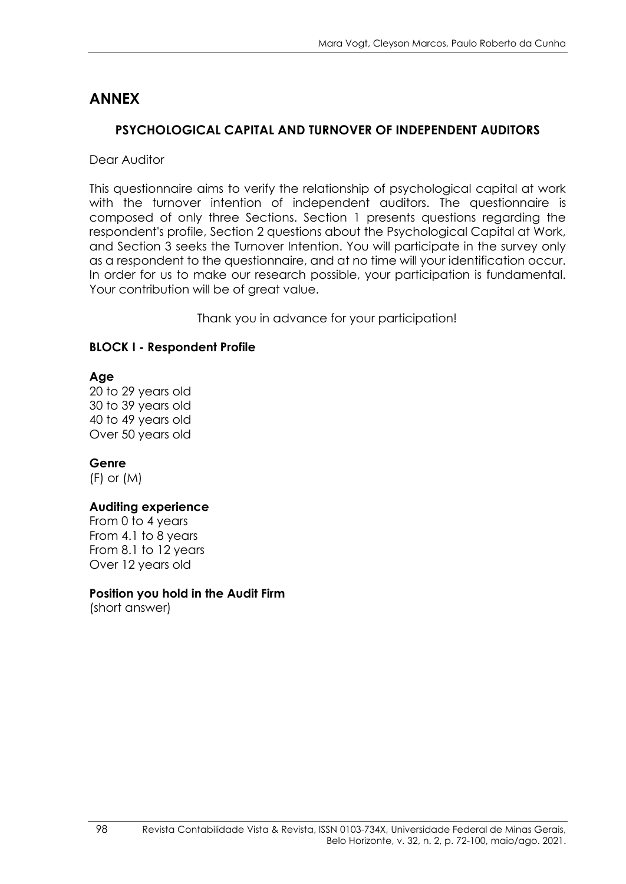# **ANNEX**

## **PSYCHOLOGICAL CAPITAL AND TURNOVER OF INDEPENDENT AUDITORS**

Dear Auditor

This questionnaire aims to verify the relationship of psychological capital at work with the turnover intention of independent auditors. The auestionnaire is composed of only three Sections. Section 1 presents questions regarding the respondent's profile, Section 2 questions about the Psychological Capital at Work, and Section 3 seeks the Turnover Intention. You will participate in the survey only as a respondent to the questionnaire, and at no time will your identification occur. In order for us to make our research possible, your participation is fundamental. Your contribution will be of great value.

Thank you in advance for your participation!

## **BLOCK I - Respondent Profile**

**Age**

20 to 29 years old 30 to 39 years old 40 to 49 years old Over 50 years old

**Genre**

(F) or (M)

## **Auditing experience**

From 0 to 4 years From 4.1 to 8 years From 8.1 to 12 years Over 12 years old

## **Position you hold in the Audit Firm**

(short answer)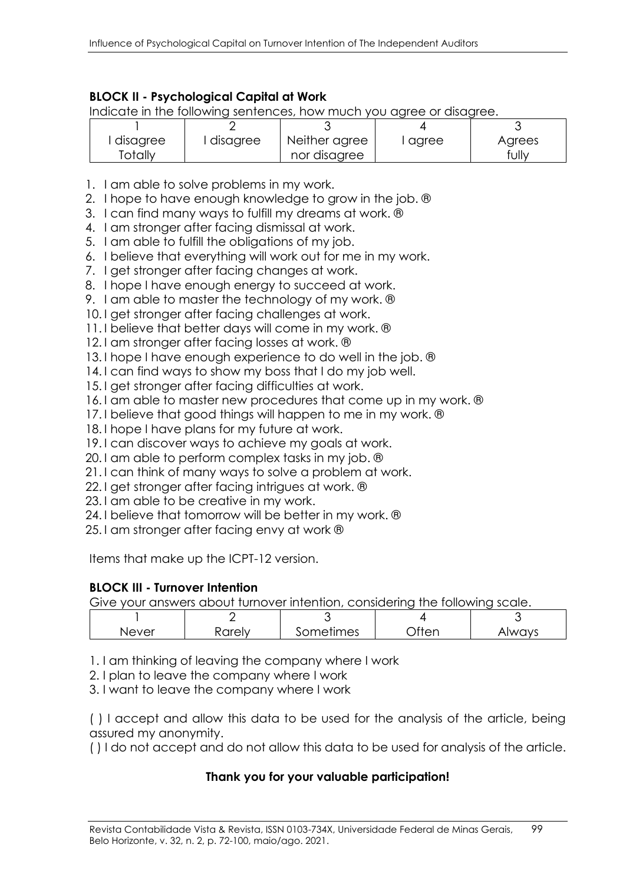### **BLOCK II - Psychological Capital at Work**

Indicate in the following sentences, how much you agree or disagree.

| l disagree | disagree | Neither agree | l agree | Agrees |
|------------|----------|---------------|---------|--------|
| Totally    |          | nor disagree  |         | fully  |

- 1. I am able to solve problems in my work.
- 2. I hope to have enough knowledge to grow in the job. ®
- 3. I can find many ways to fulfill my dreams at work. ®
- 4. I am stronger after facing dismissal at work.
- 5. I am able to fulfill the obligations of my job.
- 6. I believe that everything will work out for me in my work.
- 7. I get stronger after facing changes at work.
- 8. I hope I have enough energy to succeed at work.
- 9. I am able to master the technology of my work. ®
- 10. I get stronger after facing challenges at work.
- 11. I believe that better days will come in my work. ®
- 12. I am stronger after facing losses at work. ®
- 13. I hope I have enough experience to do well in the job. ®
- 14. I can find ways to show my boss that I do my job well.
- 15. I get stronger after facing difficulties at work.
- 16. I am able to master new procedures that come up in my work. ®
- 17. I believe that good things will happen to me in my work. ®
- 18. I hope I have plans for my future at work.
- 19. I can discover ways to achieve my goals at work.
- 20. I am able to perform complex tasks in my job. ®
- 21. I can think of many ways to solve a problem at work.
- 22. I get stronger after facing intrigues at work. ®
- 23. I am able to be creative in my work.
- 24. I believe that tomorrow will be better in my work. ®
- 25. I am stronger after facing envy at work ®

Items that make up the ICPT-12 version.

### **BLOCK III - Turnover Intention**

Give your answers about turnover intention, considering the following scale.

| ∣∖∣⇔<br>$\sqrt{2}$ | mes<br>ັ | 11 I C<br>$\cdot$ $\cdot$ |
|--------------------|----------|---------------------------|

- 1. I am thinking of leaving the company where I work
- 2. I plan to leave the company where I work
- 3. I want to leave the company where I work

( ) I accept and allow this data to be used for the analysis of the article, being assured my anonymity.

( ) I do not accept and do not allow this data to be used for analysis of the article.

### **Thank you for your valuable participation!**